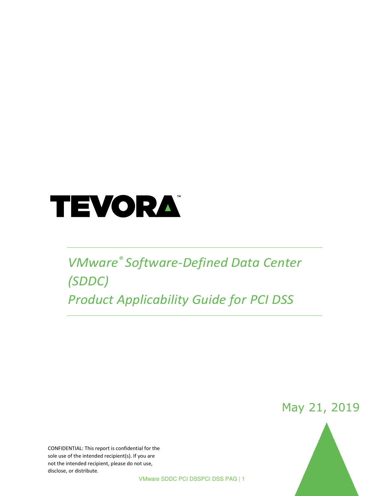

# *VMware® Software-Defined Data Center (SDDC) Product Applicability Guide for PCI DSS*

May 21, 2019

CONFIDENTIAL: This report is confidential for the sole use of the intended recipient(s). If you are not the intended recipient, please do not use, disclose, or distribute.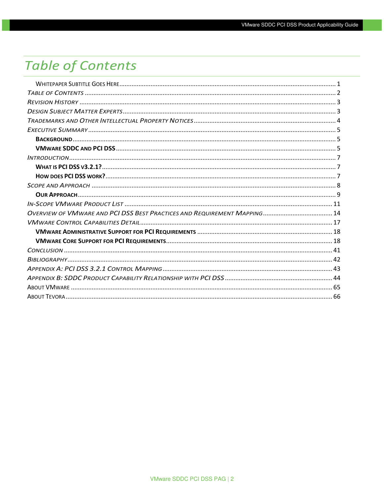## <span id="page-1-0"></span>**Table of Contents**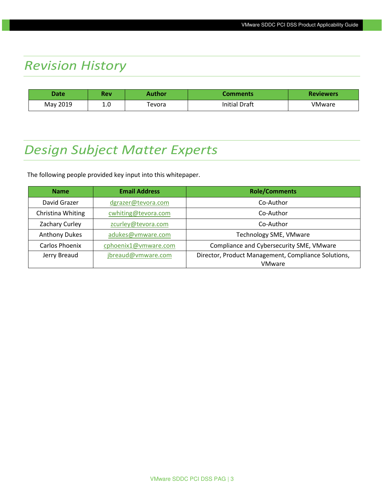## <span id="page-2-0"></span>*Revision History*

| <b>Date</b> | Rev | Author | Comments'            | <b>Reviewers</b> |
|-------------|-----|--------|----------------------|------------------|
| May 2019    | 1.0 | evora  | <b>Initial Draft</b> | VMware           |

## <span id="page-2-1"></span>*Design Subject Matter Experts*

The following people provided key input into this whitepaper.

| <b>Name</b>          | <b>Email Address</b> | <b>Role/Comments</b>                                |
|----------------------|----------------------|-----------------------------------------------------|
| David Grazer         | dgrazer@tevora.com   | Co-Author                                           |
| Christina Whiting    | cwhiting@tevora.com  | Co-Author                                           |
| Zachary Curley       | zcurley@tevora.com   | Co-Author                                           |
| <b>Anthony Dukes</b> | adukes@vmware.com    | Technology SME, VMware                              |
| Carlos Phoenix       | cphoenix1@vmware.com | Compliance and Cybersecurity SME, VMware            |
| Jerry Breaud         | jbreaud@vmware.com   | Director, Product Management, Compliance Solutions, |
|                      |                      | <b>VMware</b>                                       |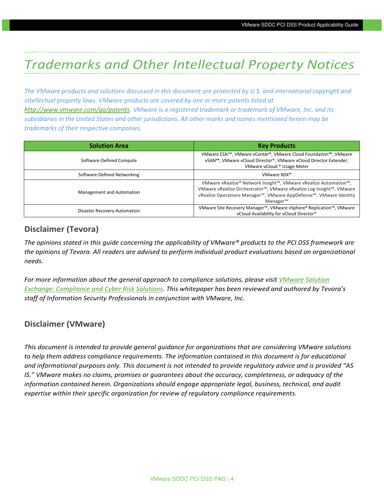## <span id="page-3-0"></span>*Trademarks and Other Intellectual Property Notices*

The VMware products and solutions discussed in this document are protected by U.S. and international copyright and *intellectual property laws. VMware products are covered by one or more patents listed at [http://www.vmware.com/go/patents.](http://www.vmware.com/go/patents) VMware is a registered trademark or trademark of VMware, Inc. and its subsidiaries in the United States and other jurisdictions. All other marks and names mentioned herein may be trademarks of their respective companies.*

| <b>Solution Area</b>         | <b>Key Products</b>                                                                                                                                                                                                                                           |
|------------------------------|---------------------------------------------------------------------------------------------------------------------------------------------------------------------------------------------------------------------------------------------------------------|
| Software-Defined Compute     | VMware ESXi <sup>™</sup> , VMware vCenter®, VMware Cloud Foundation™, VMware<br>vSAN™, VMware vCloud Director®, VMware vCloud Director Extender,<br>VMware vCloud ® Usage Meter                                                                               |
| Software-Defined Networking  | VMware NSX <sup>®</sup>                                                                                                                                                                                                                                       |
| Management and Automation    | VMware vRealize® Network Insight™, VMware vRealize Automation™,<br>VMware vRealize Orchestrator™, VMware vRealize Log Insight™, VMware<br>vRealize Operations Manager <sup>™</sup> , VMware AppDefense <sup>™</sup> , VMware Identity<br>Manager <sup>™</sup> |
| Disaster Recovery Automation | VMware Site Recovery Manager <sup>™</sup> , VMware vSphere® Replication™, VMware<br>vCloud Availability for vCloud Director®                                                                                                                                  |

#### **Disclaimer (Tevora)**

*The opinions stated in this guide concerning the applicability of VMware® products to the PCI DSS framework are*  the opinions of Tevora. All readers are advised to perform individual product evaluations based on organizational *needs.* 

For more information about the general approach to compliance solutions, please visit *VMware Solution [Exchange: Compliance and Cyber Risk Solutions](https://solutionexchange.vmware.com/store/products/vmware-compliance-cyber-risk-solutions#.VXXPhXlFCHs). This whitepaper has been reviewed and authored by Tevora's staff of Information Security Professionals in conjunction with VMware, Inc.* 

#### **Disclaimer (VMware)**

*This document is intended to provide general guidance for organizations that are considering VMware solutions*  to help them address compliance requirements. The information contained in this document is for educational *and informational purposes only. This document is not intended to provide regulatory advice and is provided "AS IS." VMware makes no claims, promises or guarantees about the accuracy, completeness, or adequacy of the information contained herein. Organizations should engage appropriate legal, business, technical, and audit expertise within their specific organization for review of regulatory compliance requirements.*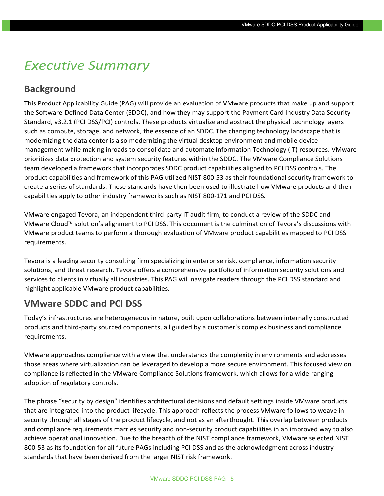## <span id="page-4-0"></span>*Executive Summary*

#### <span id="page-4-1"></span>**Background**

This Product Applicability Guide (PAG) will provide an evaluation of VMware products that make up and support the Software-Defined Data Center (SDDC), and how they may support the Payment Card Industry Data Security Standard, v3.2.1 (PCI DSS/PCI) controls. These products virtualize and abstract the physical technology layers such as compute, storage, and network, the essence of an SDDC. The changing technology landscape that is modernizing the data center is also modernizing the virtual desktop environment and mobile device management while making inroads to consolidate and automate Information Technology (IT) resources. VMware prioritizes data protection and system security features within the SDDC. The VMware Compliance Solutions team developed a framework that incorporates SDDC product capabilities aligned to PCI DSS controls. The product capabilities and framework of this PAG utilized NIST 800-53 as their foundational security framework to create a series of standards. These standards have then been used to illustrate how VMware products and their capabilities apply to other industry frameworks such as NIST 800-171 and PCI DSS.

VMware engaged Tevora, an independent third-party IT audit firm, to conduct a review of the SDDC and VMware Cloud™ solution's alignment to PCI DSS. This document is the culmination of Tevora's discussions with VMware product teams to perform a thorough evaluation of VMware product capabilities mapped to PCI DSS requirements.

Tevora is a leading security consulting firm specializing in enterprise risk, compliance, information security solutions, and threat research. Tevora offers a comprehensive portfolio of information security solutions and services to clients in virtually all industries. This PAG will navigate readers through the PCI DSS standard and highlight applicable VMware product capabilities.

#### <span id="page-4-2"></span>**VMware SDDC and PCI DSS**

Today's infrastructures are heterogeneous in nature, built upon collaborations between internally constructed products and third-party sourced components, all guided by a customer's complex business and compliance requirements.

VMware approaches compliance with a view that understands the complexity in environments and addresses those areas where virtualization can be leveraged to develop a more secure environment. This focused view on compliance is reflected in the VMware Compliance Solutions framework, which allows for a wide-ranging adoption of regulatory controls.

The phrase "security by design" identifies architectural decisions and default settings inside VMware products that are integrated into the product lifecycle. This approach reflects the process VMware follows to weave in security through all stages of the product lifecycle, and not as an afterthought. This overlap between products and compliance requirements marries security and non-security product capabilities in an improved way to also achieve operational innovation. Due to the breadth of the NIST compliance framework, VMware selected NIST 800-53 as its foundation for all future PAGs including PCI DSS and as the acknowledgment across industry standards that have been derived from the larger NIST risk framework.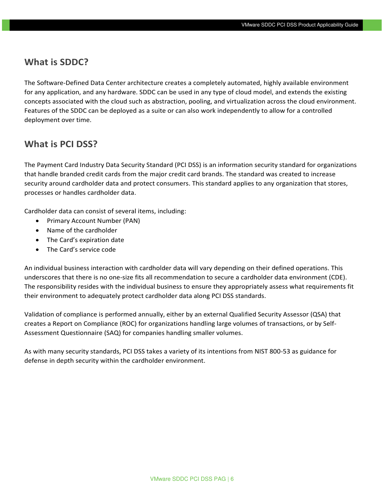#### **What is SDDC?**

The Software-Defined Data Center architecture creates a completely automated, highly available environment for any application, and any hardware. SDDC can be used in any type of cloud model, and extends the existing concepts associated with the cloud such as abstraction, pooling, and virtualization across the cloud environment. Features of the SDDC can be deployed as a suite or can also work independently to allow for a controlled deployment over time.

#### **What is PCI DSS?**

The Payment Card Industry Data Security Standard (PCI DSS) is an information security standard for organizations that handle branded credit cards from the major credit card brands. The standard was created to increase security around cardholder data and protect consumers. This standard applies to any organization that stores, processes or handles cardholder data.

Cardholder data can consist of several items, including:

- Primary Account Number (PAN)
- Name of the cardholder
- The Card's expiration date
- The Card's service code

An individual business interaction with cardholder data will vary depending on their defined operations. This underscores that there is no one-size fits all recommendation to secure a cardholder data environment (CDE). The responsibility resides with the individual business to ensure they appropriately assess what requirements fit their environment to adequately protect cardholder data along PCI DSS standards.

Validation of compliance is performed annually, either by an external Qualified Security Assessor (QSA) that creates a Report on Compliance (ROC) for organizations handling large volumes of transactions, or by Self-Assessment Questionnaire (SAQ) for companies handling smaller volumes.

As with many security standards, PCI DSS takes a variety of its intentions from NIST 800-53 as guidance for defense in depth security within the cardholder environment.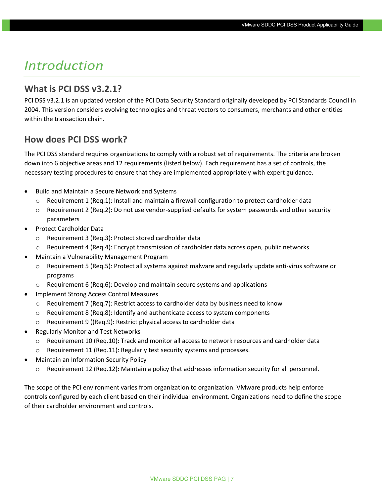## <span id="page-6-0"></span>*Introduction*

#### <span id="page-6-1"></span>**What is PCI DSS v3.2.1?**

PCI DSS v3.2.1 is an updated version of the PCI Data Security Standard originally developed by PCI Standards Council in 2004. This version considers evolving technologies and threat vectors to consumers, merchants and other entities within the transaction chain.

#### <span id="page-6-2"></span>**How does PCI DSS work?**

The PCI DSS standard requires organizations to comply with a robust set of requirements. The criteria are broken down into 6 objective areas and 12 requirements (listed below). Each requirement has a set of controls, the necessary testing procedures to ensure that they are implemented appropriately with expert guidance.

- Build and Maintain a Secure Network and Systems
	- $\circ$  Requirement 1 (Req.1): Install and maintain a firewall configuration to protect cardholder data
	- $\circ$  Requirement 2 (Req.2): Do not use vendor-supplied defaults for system passwords and other security parameters
- Protect Cardholder Data
	- o Requirement 3 (Req.3): Protect stored cardholder data
- $\circ$  Requirement 4 (Req.4): Encrypt transmission of cardholder data across open, public networks
- Maintain a Vulnerability Management Program
	- $\circ$  Requirement 5 (Req.5): Protect all systems against malware and regularly update anti-virus software or programs
	- $\circ$  Requirement 6 (Req.6): Develop and maintain secure systems and applications
- Implement Strong Access Control Measures
	- $\circ$  Requirement 7 (Req.7): Restrict access to cardholder data by business need to know
	- o Requirement 8 (Req.8): Identify and authenticate access to system components
	- o Requirement 9 ((Req.9): Restrict physical access to cardholder data
- Regularly Monitor and Test Networks
	- o Requirement 10 (Req.10): Track and monitor all access to network resources and cardholder data
	- o Requirement 11 (Req.11): Regularly test security systems and processes.
- Maintain an Information Security Policy
	- o Requirement 12 (Req.12): Maintain a policy that addresses information security for all personnel.

The scope of the PCI environment varies from organization to organization. VMware products help enforce controls configured by each client based on their individual environment. Organizations need to define the scope of their cardholder environment and controls.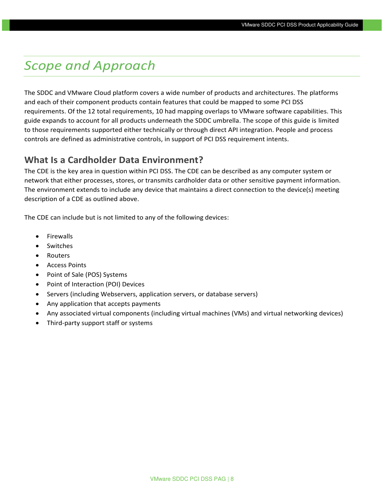## <span id="page-7-0"></span>*Scope and Approach*

The SDDC and VMware Cloud platform covers a wide number of products and architectures. The platforms and each of their component products contain features that could be mapped to some PCI DSS requirements. Of the 12 total requirements, 10 had mapping overlaps to VMware software capabilities. This guide expands to account for all products underneath the SDDC umbrella. The scope of this guide is limited to those requirements supported either technically or through direct API integration. People and process controls are defined as administrative controls, in support of PCI DSS requirement intents.

#### **What Is a Cardholder Data Environment?**

The CDE is the key area in question within PCI DSS. The CDE can be described as any computer system or network that either processes, stores, or transmits cardholder data or other sensitive payment information. The environment extends to include any device that maintains a direct connection to the device(s) meeting description of a CDE as outlined above.

The CDE can include but is not limited to any of the following devices:

- **Firewalls**
- Switches
- Routers
- Access Points
- Point of Sale (POS) Systems
- Point of Interaction (POI) Devices
- Servers (including Webservers, application servers, or database servers)
- Any application that accepts payments
- Any associated virtual components (including virtual machines (VMs) and virtual networking devices)
- Third-party support staff or systems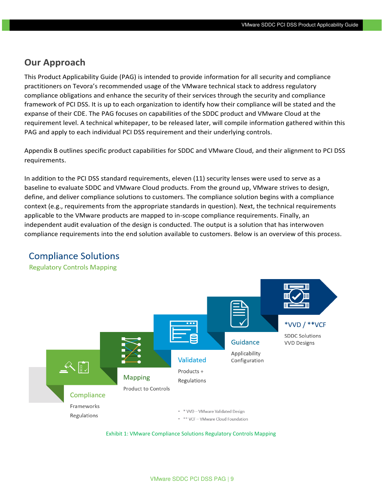#### <span id="page-8-0"></span>**Our Approach**

This Product Applicability Guide (PAG) is intended to provide information for all security and compliance practitioners on Tevora's recommended usage of the VMware technical stack to address regulatory compliance obligations and enhance the security of their services through the security and compliance framework of PCI DSS. It is up to each organization to identify how their compliance will be stated and the expanse of their CDE. The PAG focuses on capabilities of the SDDC product and VMware Cloud at the requirement level. A technical whitepaper, to be released later, will compile information gathered within this PAG and apply to each individual PCI DSS requirement and their underlying controls.

Appendix B outlines specific product capabilities for SDDC and VMware Cloud, and their alignment to PCI DSS requirements.

In addition to the PCI DSS standard requirements, eleven (11) security lenses were used to serve as a baseline to evaluate SDDC and VMware Cloud products. From the ground up, VMware strives to design, define, and deliver compliance solutions to customers. The compliance solution begins with a compliance context (e.g., requirements from the appropriate standards in question). Next, the technical requirements applicable to the VMware products are mapped to in-scope compliance requirements. Finally, an independent audit evaluation of the design is conducted. The output is a solution that has interwoven compliance requirements into the end solution available to customers. Below is an overview of this process.



#### **Compliance Solutions**

**Regulatory Controls Mapping** 

Exhibit 1: VMware Compliance Solutions Regulatory Controls Mapping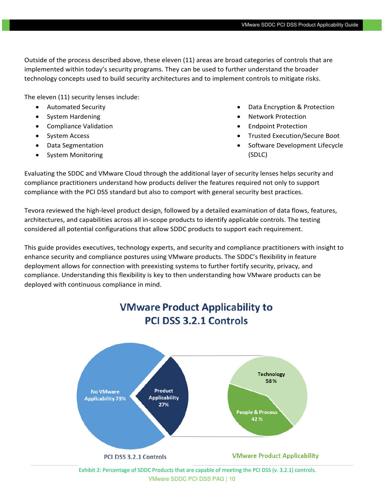Outside of the process described above, these eleven (11) areas are broad categories of controls that are implemented within today's security programs. They can be used to further understand the broader technology concepts used to build security architectures and to implement controls to mitigate risks.

The eleven (11) security lenses include:

- Automated Security
- System Hardening
- Compliance Validation
- System Access
- Data Segmentation
- System Monitoring
- Data Encryption & Protection
- Network Protection
- Endpoint Protection
- Trusted Execution/Secure Boot
- Software Development Lifecycle (SDLC)

Evaluating the SDDC and VMware Cloud through the additional layer of security lenses helps security and compliance practitioners understand how products deliver the features required not only to support compliance with the PCI DSS standard but also to comport with general security best practices.

Tevora reviewed the high-level product design, followed by a detailed examination of data flows, features, architectures, and capabilities across all in-scope products to identify applicable controls. The testing considered all potential configurations that allow SDDC products to support each requirement.

This guide provides executives, technology experts, and security and compliance practitioners with insight to enhance security and compliance postures using VMware products. The SDDC's flexibility in feature deployment allows for connection with preexisting systems to further fortify security, privacy, and compliance. Understanding this flexibility is key to then understanding how VMware products can be deployed with continuous compliance in mind.



#### VMware SDDC PCI DSS PAG | 10 Exhibit 2: Percentage of SDDC Products that are capable of meeting the PCI DSS (v. 3.2.1) controls.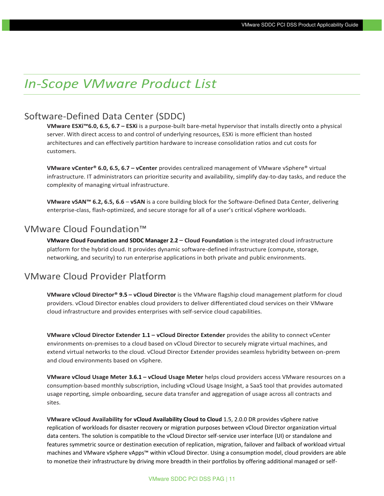## <span id="page-10-0"></span>*In-Scope VMware Product List*

#### Software-Defined Data Center (SDDC)

**VMware ESXi™6.0, 6.5, 6.7 – ESXi** is a purpose-built bare-metal hypervisor that installs directly onto a physical server. With direct access to and control of underlying resources, ESXi is more efficient than hosted architectures and can effectively partition hardware to increase consolidation ratios and cut costs for customers.

**VMware vCenter® 6.0, 6.5, 6.7 – vCenter** provides centralized management of VMware vSphere® virtual infrastructure. IT administrators can prioritize security and availability, simplify day-to-day tasks, and reduce the complexity of managing virtual infrastructure.

**VMware vSAN™ 6.2, 6.5, 6.6** – **vSAN** is a core building block for the Software-Defined Data Center, delivering enterprise-class, flash-optimized, and secure storage for all of a user's critical vSphere workloads.

#### VMware Cloud Foundation™

**VMware Cloud Foundation and SDDC Manager 2.2** – **Cloud Foundation** is the integrated cloud infrastructure platform for the hybrid cloud. It provides dynamic software-defined infrastructure (compute, storage, networking, and security) to run enterprise applications in both private and public environments.

#### VMware Cloud Provider Platform

**VMware vCloud Director® 9.5 – vCloud Director** is the VMware flagship cloud management platform for cloud providers. vCloud Director enables cloud providers to deliver differentiated cloud services on their VMware cloud infrastructure and provides enterprises with self-service cloud capabilities.

**VMware vCloud Director Extender 1.1 – vCloud Director Extender** provides the ability to connect vCenter environments on-premises to a cloud based on vCloud Director to securely migrate virtual machines, and extend virtual networks to the cloud. vCloud Director Extender provides seamless hybridity between on-prem and cloud environments based on vSphere.

**VMware vCloud Usage Meter 3.6.1 – vCloud Usage Meter** helps cloud providers access VMware resources on a consumption-based monthly subscription, including vCloud Usage Insight, a SaaS tool that provides automated usage reporting, simple onboarding, secure data transfer and aggregation of usage across all contracts and sites.

**VMware vCloud Availability for vCloud Availability Cloud to Cloud** 1.5, 2.0.0 DR provides vSphere native replication of workloads for disaster recovery or migration purposes between vCloud Director organization virtual data centers. The solution is compatible to the vCloud Director self-service user interface (UI) or standalone and features symmetric source or destination execution of replication, migration, failover and failback of workload virtual machines and VMware vSphere vApps™ within vCloud Director. Using a consumption model, cloud providers are able to monetize their infrastructure by driving more breadth in their portfolios by offering additional managed or self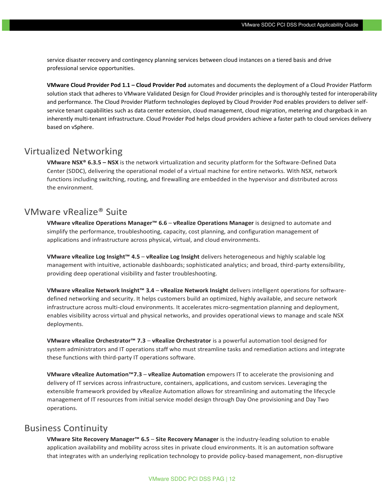service disaster recovery and contingency planning services between cloud instances on a tiered basis and drive professional service opportunities.

**VMware Cloud Provider Pod 1.1 – Cloud Provider Pod** automates and documents the deployment of a Cloud Provider Platform solution stack that adheres to VMware Validated Design for Cloud Provider principles and is thoroughly tested for interoperability and performance. The Cloud Provider Platform technologies deployed by Cloud Provider Pod enables providers to deliver selfservice tenant capabilities such as data center extension, cloud management, cloud migration, metering and chargeback in an inherently multi-tenant infrastructure. Cloud Provider Pod helps cloud providers achieve a faster path to cloud services delivery based on vSphere.

#### Virtualized Networking

**VMware NSX® 6.3.5 – NSX** is the network virtualization and security platform for the Software-Defined Data Center (SDDC), delivering the operational model of a virtual machine for entire networks. With NSX, network functions including switching, routing, and firewalling are embedded in the hypervisor and distributed across the environment.

#### VMware vRealize® Suite

**VMware vRealize Operations Manager™ 6.6** – **vRealize Operations Manager** is designed to automate and simplify the performance, troubleshooting, capacity, cost planning, and configuration management of applications and infrastructure across physical, virtual, and cloud environments.

**VMware vRealize Log Insight™ 4.5** – **vRealize Log Insight** delivers heterogeneous and highly scalable log management with intuitive, actionable dashboards; sophisticated analytics; and broad, third-party extensibility, providing deep operational visibility and faster troubleshooting.

**VMware vRealize Network Insight™ 3.4** – **vRealize Network Insight** delivers intelligent operations for softwaredefined networking and security. It helps customers build an optimized, highly available, and secure network infrastructure across multi-cloud environments. It accelerates micro-segmentation planning and deployment, enables visibility across virtual and physical networks, and provides operational views to manage and scale NSX deployments.

**VMware vRealize Orchestrator™ 7.3** – **vRealize Orchestrator** is a powerful automation tool designed for system administrators and IT operations staff who must streamline tasks and remediation actions and integrate these functions with third-party IT operations software.

**VMware vRealize Automation™7.3** – **vRealize Automation** empowers IT to accelerate the provisioning and delivery of IT services across infrastructure, containers, applications, and custom services. Leveraging the extensible framework provided by vRealize Automation allows for streamlining and automating the lifecycle management of IT resources from initial service model design through Day One provisioning and Day Two operations.

#### Business Continuity

**VMware Site Recovery Manager™ 6.5** – **Site Recovery Manager** is the industry-leading solution to enable application availability and mobility across sites in private cloud environments. It is an automation software that integrates with an underlying replication technology to provide policy-based management, non-disruptive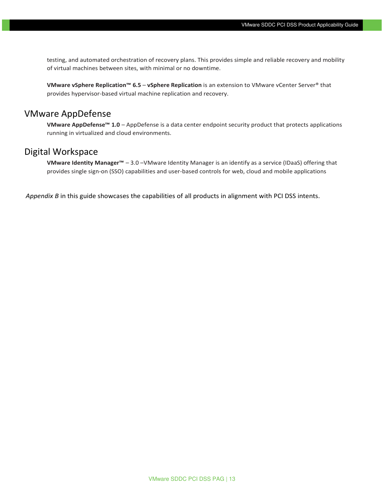testing, and automated orchestration of recovery plans. This provides simple and reliable recovery and mobility of virtual machines between sites, with minimal or no downtime.

**VMware vSphere Replication™ 6.5** – **vSphere Replication** is an extension to VMware vCenter Server® that provides hypervisor-based virtual machine replication and recovery.

#### VMware AppDefense

**VMware AppDefense™ 1.0** – AppDefense is a data center endpoint security product that protects applications running in virtualized and cloud environments.

#### Digital Workspace

**VMware Identity Manager™** – 3.0 –VMware Identity Manager is an identify as a service (IDaaS) offering that provides single sign-on (SSO) capabilities and user-based controls for web, cloud and mobile applications

*Appendix B* in this guide showcases the capabilities of all products in alignment with PCI DSS intents.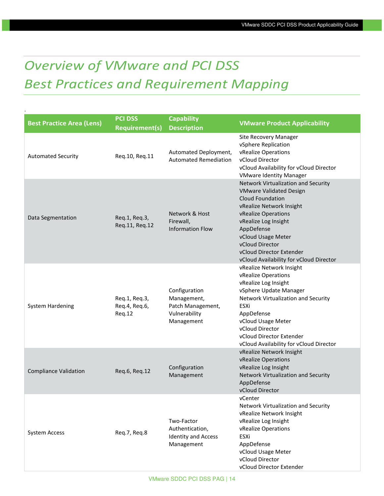# <span id="page-13-0"></span>*Overview of VMware and PCI DSS Best Practices and Requirement Mapping*

.

| <b>Best Practice Area (Lens)</b> | <b>PCI DSS</b><br><b>Requirement(s)</b>  | <b>Capability</b><br><b>Description</b>                                          | <b>VMware Product Applicability</b>                                                                                                                                                                                                                                                                |
|----------------------------------|------------------------------------------|----------------------------------------------------------------------------------|----------------------------------------------------------------------------------------------------------------------------------------------------------------------------------------------------------------------------------------------------------------------------------------------------|
| <b>Automated Security</b>        | Req.10, Req.11                           | Automated Deployment,<br><b>Automated Remediation</b>                            | Site Recovery Manager<br>vSphere Replication<br>vRealize Operations<br>vCloud Director<br>vCloud Availability for vCloud Director<br><b>VMware Identity Manager</b>                                                                                                                                |
| Data Segmentation                | Req.1, Req.3,<br>Req.11, Req.12          | Network & Host<br>Firewall,<br><b>Information Flow</b>                           | Network Virtualization and Security<br><b>VMware Validated Design</b><br>Cloud Foundation<br>vRealize Network Insight<br>vRealize Operations<br>vRealize Log Insight<br>AppDefense<br>vCloud Usage Meter<br>vCloud Director<br>vCloud Director Extender<br>vCloud Availability for vCloud Director |
| <b>System Hardening</b>          | Req.1, Req.3,<br>Req.4, Req.6,<br>Req.12 | Configuration<br>Management,<br>Patch Management,<br>Vulnerability<br>Management | vRealize Network Insight<br>vRealize Operations<br>vRealize Log Insight<br>vSphere Update Manager<br>Network Virtualization and Security<br>ESXi<br>AppDefense<br>vCloud Usage Meter<br>vCloud Director<br>vCloud Director Extender<br>vCloud Availability for vCloud Director                     |
| <b>Compliance Validation</b>     | Req.6, Req.12                            | Configuration<br>Management                                                      | vRealize Network Insight<br>vRealize Operations<br>vRealize Log Insight<br>Network Virtualization and Security<br>AppDefense<br>vCloud Director                                                                                                                                                    |
| <b>System Access</b>             | Req.7, Req.8                             | Two-Factor<br>Authentication,<br><b>Identity and Access</b><br>Management        | vCenter<br>Network Virtualization and Security<br>vRealize Network Insight<br>vRealize Log Insight<br>vRealize Operations<br>ESXi<br>AppDefense<br>vCloud Usage Meter<br>vCloud Director<br>vCloud Director Extender                                                                               |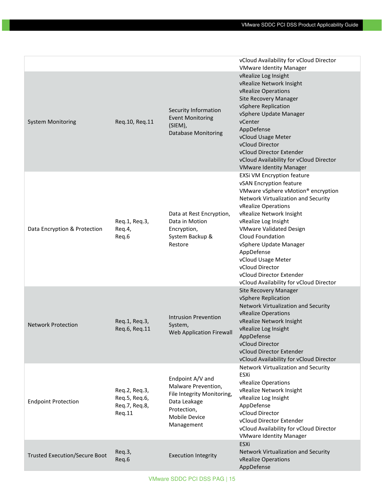|                                      |                                                           |                                                                                                                                     | vCloud Availability for vCloud Director<br><b>VMware Identity Manager</b>                                                                                                                                                                                                                                                                                                                                                                             |
|--------------------------------------|-----------------------------------------------------------|-------------------------------------------------------------------------------------------------------------------------------------|-------------------------------------------------------------------------------------------------------------------------------------------------------------------------------------------------------------------------------------------------------------------------------------------------------------------------------------------------------------------------------------------------------------------------------------------------------|
| <b>System Monitoring</b>             | Req.10, Req.11                                            | Security Information<br><b>Event Monitoring</b><br>(SIEM),<br><b>Database Monitoring</b>                                            | vRealize Log Insight<br>vRealize Network Insight<br>vRealize Operations<br>Site Recovery Manager<br>vSphere Replication<br>vSphere Update Manager<br>vCenter<br>AppDefense<br>vCloud Usage Meter<br>vCloud Director<br>vCloud Director Extender<br>vCloud Availability for vCloud Director<br><b>VMware Identity Manager</b>                                                                                                                          |
| Data Encryption & Protection         | Req.1, Req.3,<br>Req.4,<br>Req.6                          | Data at Rest Encryption,<br>Data in Motion<br>Encryption,<br>System Backup &<br>Restore                                             | <b>EXSI VM Encryption feature</b><br>vSAN Encryption feature<br>VMware vSphere vMotion <sup>®</sup> encryption<br>Network Virtualization and Security<br>vRealize Operations<br>vRealize Network Insight<br>vRealize Log Insight<br><b>VMware Validated Design</b><br><b>Cloud Foundation</b><br>vSphere Update Manager<br>AppDefense<br>vCloud Usage Meter<br>vCloud Director<br>vCloud Director Extender<br>vCloud Availability for vCloud Director |
| <b>Network Protection</b>            | Req.1, Req.3,<br>Req.6, Req.11                            | <b>Intrusion Prevention</b><br>System,<br><b>Web Application Firewall</b>                                                           | <b>Site Recovery Manager</b><br>vSphere Replication<br>Network Virtualization and Security<br>vRealize Operations<br>vRealize Network Insight<br>vRealize Log Insight<br>AppDefense<br>vCloud Director<br>vCloud Director Extender<br>vCloud Availability for vCloud Director                                                                                                                                                                         |
| <b>Endpoint Protection</b>           | Req.2, Req.3,<br>Req.5, Req.6,<br>Req.7, Req.8,<br>Req.11 | Endpoint A/V and<br>Malware Prevention,<br>File Integrity Monitoring,<br>Data Leakage<br>Protection,<br>Mobile Device<br>Management | Network Virtualization and Security<br>ESXi<br>vRealize Operations<br>vRealize Network Insight<br>vRealize Log Insight<br>AppDefense<br>vCloud Director<br>vCloud Director Extender<br>vCloud Availability for vCloud Director<br><b>VMware Identity Manager</b>                                                                                                                                                                                      |
| <b>Trusted Execution/Secure Boot</b> | Req.3,<br>Req.6                                           | <b>Execution Integrity</b>                                                                                                          | ESXi<br>Network Virtualization and Security<br>vRealize Operations<br>AppDefense                                                                                                                                                                                                                                                                                                                                                                      |

VMware SDDC PCI DSS PAG | 15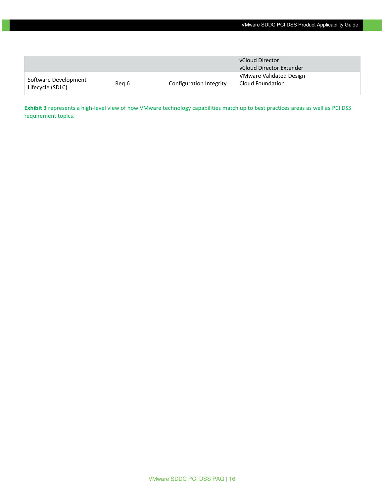|                                          |       |                         | vCloud Director                             |  |
|------------------------------------------|-------|-------------------------|---------------------------------------------|--|
|                                          |       |                         | vCloud Director Extender                    |  |
| Software Development<br>Lifecycle (SDLC) | Reg.6 | Configuration Integrity | VMware Validated Design<br>Cloud Foundation |  |

**Exhibit 3** represents a high-level view of how VMware technology capabilities match up to best practices areas as well as PCI DSS requirement topics.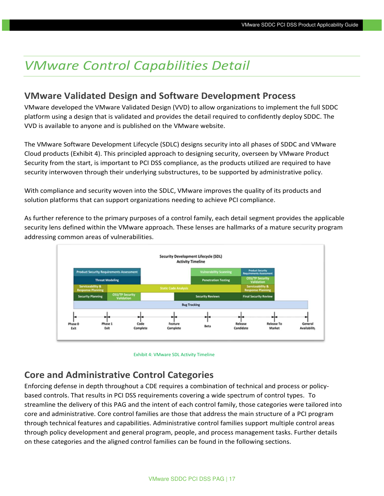## <span id="page-16-0"></span>*VMware Control Capabilities Detail*

#### **VMware Validated Design and Software Development Process**

VMware developed the VMware Validated Design (VVD) to allow organizations to implement the full SDDC platform using a design that is validated and provides the detail required to confidently deploy SDDC. The VVD is available to anyone and is published on the VMware website.

The VMware Software Development Lifecycle (SDLC) designs security into all phases of SDDC and VMware Cloud products (Exhibit 4). This principled approach to designing security, overseen by VMware Product Security from the start, is important to PCI DSS compliance, as the products utilized are required to have security interwoven through their underlying substructures, to be supported by administrative policy.

With compliance and security woven into the SDLC, VMware improves the quality of its products and solution platforms that can support organizations needing to achieve PCI compliance.

As further reference to the primary purposes of a control family, each detail segment provides the applicable security lens defined within the VMware approach. These lenses are hallmarks of a mature security program addressing common areas of vulnerabilities.





#### **Core and Administrative Control Categories**

Enforcing defense in depth throughout a CDE requires a combination of technical and process or policybased controls. That results in PCI DSS requirements covering a wide spectrum of control types. To streamline the delivery of this PAG and the intent of each control family, those categories were tailored into core and administrative. Core control families are those that address the main structure of a PCI program through technical features and capabilities. Administrative control families support multiple control areas through policy development and general program, people, and process management tasks. Further details on these categories and the aligned control families can be found in the following sections.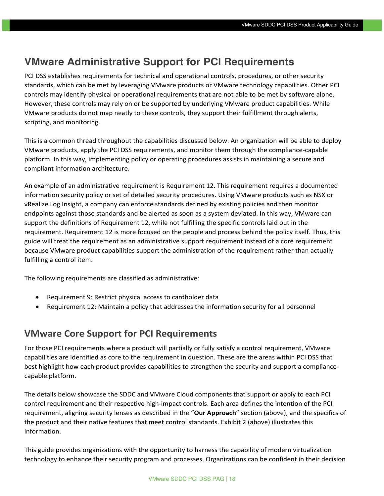### <span id="page-17-0"></span>**VMware Administrative Support for PCI Requirements**

PCI DSS establishes requirements for technical and operational controls, procedures, or other security standards, which can be met by leveraging VMware products or VMware technology capabilities. Other PCI controls may identify physical or operational requirements that are not able to be met by software alone. However, these controls may rely on or be supported by underlying VMware product capabilities. While VMware products do not map neatly to these controls, they support their fulfillment through alerts, scripting, and monitoring.

This is a common thread throughout the capabilities discussed below. An organization will be able to deploy VMware products, apply the PCI DSS requirements, and monitor them through the compliance-capable platform. In this way, implementing policy or operating procedures assists in maintaining a secure and compliant information architecture.

An example of an administrative requirement is Requirement 12. This requirement requires a documented information security policy or set of detailed security procedures. Using VMware products such as NSX or vRealize Log Insight, a company can enforce standards defined by existing policies and then monitor endpoints against those standards and be alerted as soon as a system deviated. In this way, VMware can support the definitions of Requirement 12, while not fulfilling the specific controls laid out in the requirement. Requirement 12 is more focused on the people and process behind the policy itself. Thus, this guide will treat the requirement as an administrative support requirement instead of a core requirement because VMware product capabilities support the administration of the requirement rather than actually fulfilling a control item.

The following requirements are classified as administrative:

- Requirement 9: Restrict physical access to cardholder data
- Requirement 12: Maintain a policy that addresses the information security for all personnel

#### <span id="page-17-1"></span>**VMware Core Support for PCI Requirements**

For those PCI requirements where a product will partially or fully satisfy a control requirement, VMware capabilities are identified as core to the requirement in question. These are the areas within PCI DSS that best highlight how each product provides capabilities to strengthen the security and support a compliancecapable platform.

The details below showcase the SDDC and VMware Cloud components that support or apply to each PCI control requirement and their respective high-impact controls. Each area defines the intention of the PCI requirement, aligning security lenses as described in the "**Our Approach**" section (above), and the specifics of the product and their native features that meet control standards. Exhibit 2 (above) illustrates this information.

This guide provides organizations with the opportunity to harness the capability of modern virtualization technology to enhance their security program and processes. Organizations can be confident in their decision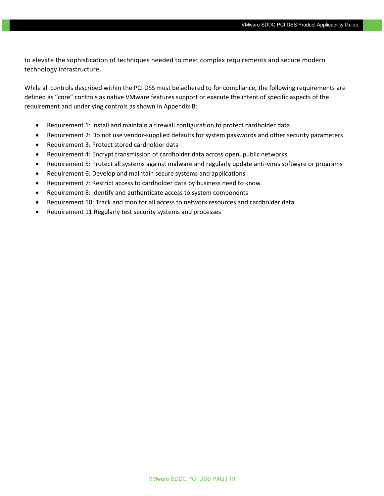to elevate the sophistication of techniques needed to meet complex requirements and secure modern technology infrastructure.

While all controls described within the PCI DSS must be adhered to for compliance, the following requirements are defined as "core" controls as native VMware features support or execute the intent of specific aspects of the requirement and underlying controls as shown in Appendix B:

- Requirement 1: Install and maintain a firewall configuration to protect cardholder data
- Requirement 2: Do not use vendor-supplied defaults for system passwords and other security parameters
- Requirement 3: Protect stored cardholder data
- Requirement 4: Encrypt transmission of cardholder data across open, public networks
- Requirement 5: Protect all systems against malware and regularly update anti-virus software or programs
- Requirement 6: Develop and maintain secure systems and applications
- Requirement 7: Restrict access to cardholder data by business need to know
- Requirement 8: Identify and authenticate access to system components
- Requirement 10: Track and monitor all access to network resources and cardholder data
- Requirement 11 Regularly test security systems and processes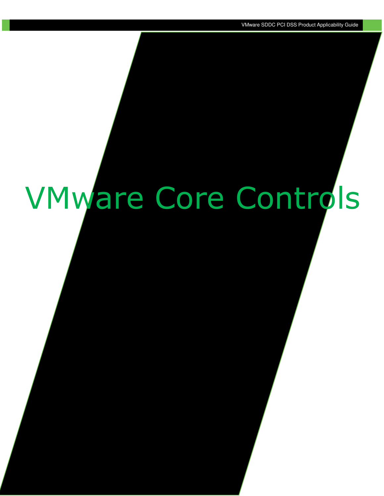# VMware Core Controls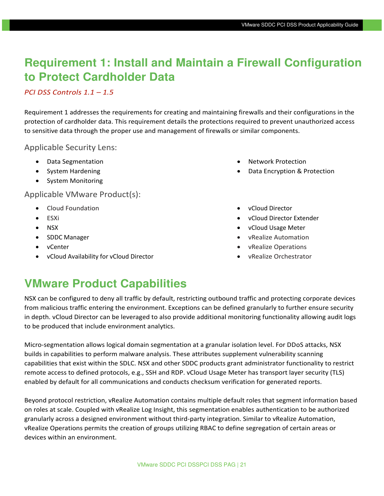## **Requirement 1: Install and Maintain a Firewall Configuration to Protect Cardholder Data**

#### *PCI DSS Controls 1.1 – 1.5*

Requirement 1 addresses the requirements for creating and maintaining firewalls and their configurations in the protection of cardholder data. This requirement details the protections required to prevent unauthorized access to sensitive data through the proper use and management of firewalls or similar components.

#### Applicable Security Lens:

- Data Segmentation
- System Hardening
- System Monitoring

#### Applicable VMware Product(s):

- Cloud Foundation
- ESXi
- NSX
- SDDC Manager
- vCenter
- vCloud Availability for vCloud Director
- Network Protection
- Data Encryption & Protection
- vCloud Director
- vCloud Director Extender
- vCloud Usage Meter
- vRealize Automation
- vRealize Operations
- vRealize Orchestrator

### **VMware Product Capabilities**

NSX can be configured to deny all traffic by default, restricting outbound traffic and protecting corporate devices from malicious traffic entering the environment. Exceptions can be defined granularly to further ensure security in depth. vCloud Director can be leveraged to also provide additional monitoring functionality allowing audit logs to be produced that include environment analytics.

Micro-segmentation allows logical domain segmentation at a granular isolation level. For DDoS attacks, NSX builds in capabilities to perform malware analysis. These attributes supplement vulnerability scanning capabilities that exist within the SDLC. NSX and other SDDC products grant administrator functionality to restrict remote access to defined protocols, e.g., SSH and RDP. vCloud Usage Meter has transport layer security (TLS) enabled by default for all communications and conducts checksum verification for generated reports.

Beyond protocol restriction, vRealize Automation contains multiple default roles that segment information based on roles at scale. Coupled with vRealize Log Insight, this segmentation enables authentication to be authorized granularly across a designed environment without third-party integration. Similar to vRealize Automation, vRealize Operations permits the creation of groups utilizing RBAC to define segregation of certain areas or devices within an environment.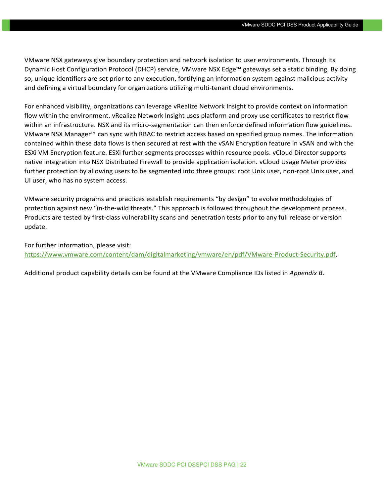VMware NSX gateways give boundary protection and network isolation to user environments. Through its Dynamic Host Configuration Protocol (DHCP) service, VMware NSX Edge™ gateways set a static binding. By doing so, unique identifiers are set prior to any execution, fortifying an information system against malicious activity and defining a virtual boundary for organizations utilizing multi-tenant cloud environments.

For enhanced visibility, organizations can leverage vRealize Network Insight to provide context on information flow within the environment. vRealize Network Insight uses platform and proxy use certificates to restrict flow within an infrastructure. NSX and its micro-segmentation can then enforce defined information flow guidelines. VMware NSX Manager™ can sync with RBAC to restrict access based on specified group names. The information contained within these data flows is then secured at rest with the vSAN Encryption feature in vSAN and with the ESXi VM Encryption feature. ESXi further segments processes within resource pools. vCloud Director supports native integration into NSX Distributed Firewall to provide application isolation. vCloud Usage Meter provides further protection by allowing users to be segmented into three groups: root Unix user, non-root Unix user, and UI user, who has no system access.

VMware security programs and practices establish requirements "by design" to evolve methodologies of protection against new "in-the-wild threats." This approach is followed throughout the development process. Products are tested by first-class vulnerability scans and penetration tests prior to any full release or version update.

For further information, please visit: [https://www.vmware.com/content/dam/digitalmarketing/vmware/en/pdf/VMware-Product-Security.pdf.](https://www.vmware.com/content/dam/digitalmarketing/vmware/en/pdf/VMware-Product-Security.pdf)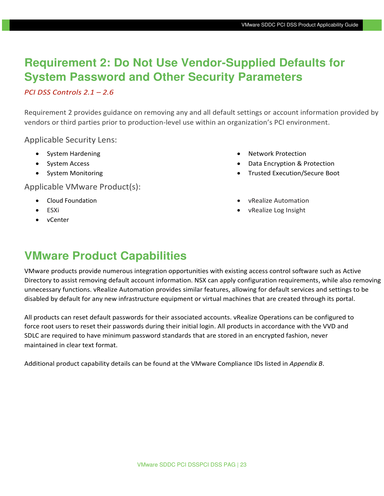## **Requirement 2: Do Not Use Vendor-Supplied Defaults for System Password and Other Security Parameters**

#### *PCI DSS Controls 2.1 – 2.6*

Requirement 2 provides guidance on removing any and all default settings or account information provided by vendors or third parties prior to production-level use within an organization's PCI environment.

Applicable Security Lens:

- System Hardening
- System Access
- System Monitoring

Applicable VMware Product(s):

- Cloud Foundation
- ESXi
- vCenter
- Network Protection
- Data Encryption & Protection
- Trusted Execution/Secure Boot
- vRealize Automation
- vRealize Log Insight

## **VMware Product Capabilities**

VMware products provide numerous integration opportunities with existing access control software such as Active Directory to assist removing default account information. NSX can apply configuration requirements, while also removing unnecessary functions. vRealize Automation provides similar features, allowing for default services and settings to be disabled by default for any new infrastructure equipment or virtual machines that are created through its portal.

All products can reset default passwords for their associated accounts. vRealize Operations can be configured to force root users to reset their passwords during their initial login. All products in accordance with the VVD and SDLC are required to have minimum password standards that are stored in an encrypted fashion, never maintained in clear text format.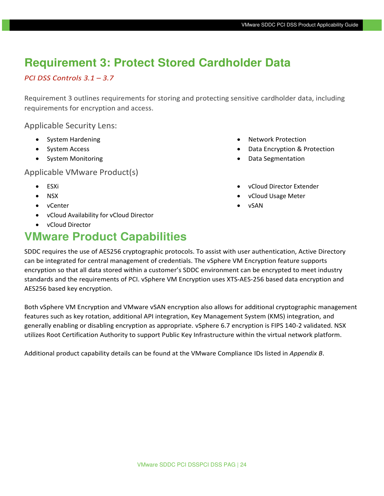## **Requirement 3: Protect Stored Cardholder Data**

#### *PCI DSS Controls 3.1 – 3.7*

Requirement 3 outlines requirements for storing and protecting sensitive cardholder data, including requirements for encryption and access.

Applicable Security Lens:

- System Hardening
- System Access
- System Monitoring

Applicable VMware Product(s)

- ESXi
- NSX
- vCenter
- vCloud Availability for vCloud Director
- vCloud Director

## **VMware Product Capabilities**

- Network Protection
- Data Encryption & Protection
- Data Segmentation
- vCloud Director Extender
- vCloud Usage Meter
- vSAN

SDDC requires the use of AES256 cryptographic protocols. To assist with user authentication, Active Directory can be integrated for central management of credentials. The vSphere VM Encryption feature supports encryption so that all data stored within a customer's SDDC environment can be encrypted to meet industry standards and the requirements of PCI. vSphere VM Encryption uses XTS-AES-256 based data encryption and AES256 based key encryption.

Both vSphere VM Encryption and VMware vSAN encryption also allows for additional cryptographic management features such as key rotation, additional API integration, Key Management System (KMS) integration, and generally enabling or disabling encryption as appropriate. vSphere 6.7 encryption is FIPS 140-2 validated. NSX utilizes Root Certification Authority to support Public Key Infrastructure within the virtual network platform.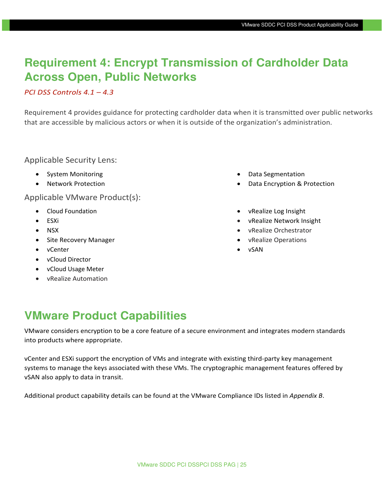## **Requirement 4: Encrypt Transmission of Cardholder Data Across Open, Public Networks**

#### *PCI DSS Controls 4.1 – 4.3*

Requirement 4 provides guidance for protecting cardholder data when it is transmitted over public networks that are accessible by malicious actors or when it is outside of the organization's administration.

#### Applicable Security Lens:

- System Monitoring
- Network Protection

Applicable VMware Product(s):

- Cloud Foundation
- ESXi
- NSX
- Site Recovery Manager
- vCenter
- vCloud Director
- vCloud Usage Meter
- vRealize Automation
- Data Segmentation
- Data Encryption & Protection
- vRealize Log Insight
- vRealize Network Insight
- vRealize Orchestrator
- vRealize Operations
- vSAN

## **VMware Product Capabilities**

VMware considers encryption to be a core feature of a secure environment and integrates modern standards into products where appropriate.

vCenter and ESXi support the encryption of VMs and integrate with existing third-party key management systems to manage the keys associated with these VMs. The cryptographic management features offered by vSAN also apply to data in transit.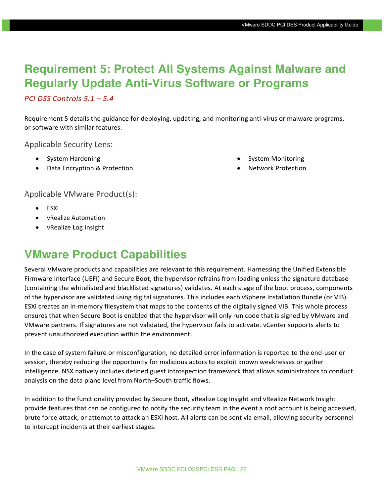## **Requirement 5: Protect All Systems Against Malware and Regularly Update Anti-Virus Software or Programs**

#### *PCI DSS Controls 5.1 – 5.4*

Requirement 5 details the guidance for deploying, updating, and monitoring anti-virus or malware programs, or software with similar features.

Applicable Security Lens:

- System Hardening
- Data Encryption & Protection
- System Monitoring
- Network Protection

#### Applicable VMware Product(s):

- ESXi
- vRealize Automation
- vRealize Log Insight

## **VMware Product Capabilities**

Several VMware products and capabilities are relevant to this requirement. Harnessing the Unified Extensible Firmware Interface (UEFI) and Secure Boot, the hypervisor refrains from loading unless the signature database (containing the whitelisted and blacklisted signatures) validates. At each stage of the boot process, components of the hypervisor are validated using digital signatures. This includes each vSphere Installation Bundle (or VIB). ESXi creates an in-memory filesystem that maps to the contents of the digitally signed VIB. This whole process ensures that when Secure Boot is enabled that the hypervisor will only run code that is signed by VMware and VMware partners. If signatures are not validated, the hypervisor fails to activate. vCenter supports alerts to prevent unauthorized execution within the environment.

In the case of system failure or misconfiguration, no detailed error information is reported to the end-user or session, thereby reducing the opportunity for malicious actors to exploit known weaknesses or gather intelligence. NSX natively includes defined guest introspection framework that allows administrators to conduct analysis on the data plane level from North–South traffic flows.

In addition to the functionality provided by Secure Boot, vRealize Log Insight and vRealize Network Insight provide features that can be configured to notify the security team in the event a root account is being accessed, brute force attack, or attempt to attack an ESXi host. All alerts can be sent via email, allowing security personnel to intercept incidents at their earliest stages.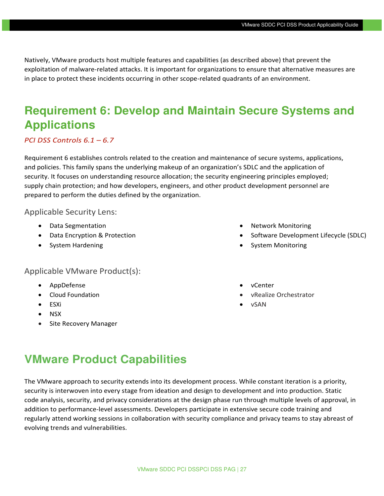Natively, VMware products host multiple features and capabilities (as described above) that prevent the exploitation of malware-related attacks. It is important for organizations to ensure that alternative measures are in place to protect these incidents occurring in other scope-related quadrants of an environment.

## **Requirement 6: Develop and Maintain Secure Systems and Applications**

#### *PCI DSS Controls 6.1 – 6.7*

Requirement 6 establishes controls related to the creation and maintenance of secure systems, applications, and policies. This family spans the underlying makeup of an organization's SDLC and the application of security. It focuses on understanding resource allocation; the security engineering principles employed; supply chain protection; and how developers, engineers, and other product development personnel are prepared to perform the duties defined by the organization.

#### Applicable Security Lens:

- Data Segmentation
- Data Encryption & Protection
- System Hardening

#### • Network Monitoring • Software Development Lifecycle (SDLC)

• System Monitoring

#### Applicable VMware Product(s):

- AppDefense
- Cloud Foundation
- ESXi
- NSX
- Site Recovery Manager
- vCenter
- vRealize Orchestrator
- vSAN

### **VMware Product Capabilities**

The VMware approach to security extends into its development process. While constant iteration is a priority, security is interwoven into every stage from ideation and design to development and into production. Static code analysis, security, and privacy considerations at the design phase run through multiple levels of approval, in addition to performance-level assessments. Developers participate in extensive secure code training and regularly attend working sessions in collaboration with security compliance and privacy teams to stay abreast of evolving trends and vulnerabilities.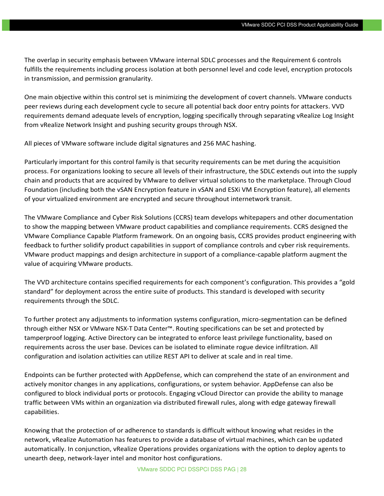The overlap in security emphasis between VMware internal SDLC processes and the Requirement 6 controls fulfills the requirements including process isolation at both personnel level and code level, encryption protocols in transmission, and permission granularity.

One main objective within this control set is minimizing the development of covert channels. VMware conducts peer reviews during each development cycle to secure all potential back door entry points for attackers. VVD requirements demand adequate levels of encryption, logging specifically through separating vRealize Log Insight from vRealize Network Insight and pushing security groups through NSX.

All pieces of VMware software include digital signatures and 256 MAC hashing.

Particularly important for this control family is that security requirements can be met during the acquisition process. For organizations looking to secure all levels of their infrastructure, the SDLC extends out into the supply chain and products that are acquired by VMware to deliver virtual solutions to the marketplace. Through Cloud Foundation (including both the vSAN Encryption feature in vSAN and ESXi VM Encryption feature), all elements of your virtualized environment are encrypted and secure throughout internetwork transit.

The VMware Compliance and Cyber Risk Solutions (CCRS) team develops whitepapers and other documentation to show the mapping between VMware product capabilities and compliance requirements. CCRS designed the VMware Compliance Capable Platform framework. On an ongoing basis, CCRS provides product engineering with feedback to further solidify product capabilities in support of compliance controls and cyber risk requirements. VMware product mappings and design architecture in support of a compliance-capable platform augment the value of acquiring VMware products.

The VVD architecture contains specified requirements for each component's configuration. This provides a "gold standard" for deployment across the entire suite of products. This standard is developed with security requirements through the SDLC.

To further protect any adjustments to information systems configuration, micro-segmentation can be defined through either NSX or VMware NSX-T Data Center™. Routing specifications can be set and protected by tamperproof logging. Active Directory can be integrated to enforce least privilege functionality, based on requirements across the user base. Devices can be isolated to eliminate rogue device infiltration. All configuration and isolation activities can utilize REST API to deliver at scale and in real time.

Endpoints can be further protected with AppDefense, which can comprehend the state of an environment and actively monitor changes in any applications, configurations, or system behavior. AppDefense can also be configured to block individual ports or protocols. Engaging vCloud Director can provide the ability to manage traffic between VMs within an organization via distributed firewall rules, along with edge gateway firewall capabilities.

Knowing that the protection of or adherence to standards is difficult without knowing what resides in the network, vRealize Automation has features to provide a database of virtual machines, which can be updated automatically. In conjunction, vRealize Operations provides organizations with the option to deploy agents to unearth deep, network-layer intel and monitor host configurations.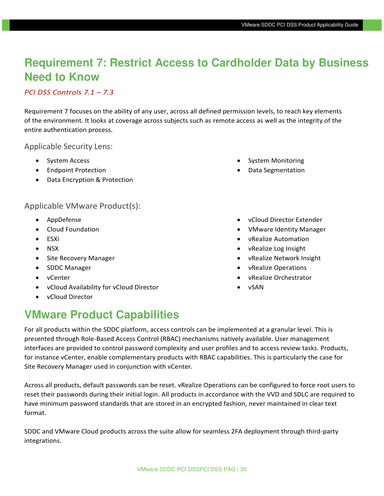## **Requirement 7: Restrict Access to Cardholder Data by Business Need to Know**

#### *PCI DSS Controls 7.1 – 7.3*

Requirement 7 focuses on the ability of any user, across all defined permission levels, to reach key elements of the environment. It looks at coverage across subjects such as remote access as well as the integrity of the entire authentication process.

Applicable Security Lens:

- System Access
- Endpoint Protection
- Data Encryption & Protection

#### Applicable VMware Product(s):

- AppDefense
- Cloud Foundation
- ESXi
- NSX
- Site Recovery Manager
- SDDC Manager
- vCenter
- vCloud Availability for vCloud Director
- vCloud Director

## **VMware Product Capabilities**

For all products within the SDDC platform, access controls can be implemented at a granular level. This is presented through Role-Based Access Control (RBAC) mechanisms natively available. User management interfaces are provided to control password complexity and user profiles and to access review tasks. Products, for instance vCenter, enable complementary products with RBAC capabilities. This is particularly the case for Site Recovery Manager used in conjunction with vCenter.

Across all products, default passwords can be reset. vRealize Operations can be configured to force root users to reset their passwords during their initial login. All products in accordance with the VVD and SDLC are required to have minimum password standards that are stored in an encrypted fashion, never maintained in clear text format.

SDDC and VMware Cloud products across the suite allow for seamless 2FA deployment through third-party integrations.

- System Monitoring
- Data Segmentation
- vCloud Director Extender
- VMware Identity Manager
- vRealize Automation
- vRealize Log Insight
- vRealize Network Insight
- vRealize Operations
- vRealize Orchestrator
- vSAN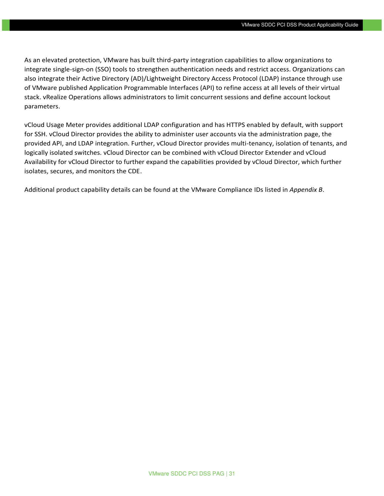As an elevated protection, VMware has built third-party integration capabilities to allow organizations to integrate single-sign-on (SSO) tools to strengthen authentication needs and restrict access. Organizations can also integrate their Active Directory (AD)/Lightweight Directory Access Protocol (LDAP) instance through use of VMware published Application Programmable Interfaces (API) to refine access at all levels of their virtual stack. vRealize Operations allows administrators to limit concurrent sessions and define account lockout parameters.

vCloud Usage Meter provides additional LDAP configuration and has HTTPS enabled by default, with support for SSH. vCloud Director provides the ability to administer user accounts via the administration page, the provided API, and LDAP integration. Further, vCloud Director provides multi-tenancy, isolation of tenants, and logically isolated switches. vCloud Director can be combined with vCloud Director Extender and vCloud Availability for vCloud Director to further expand the capabilities provided by vCloud Director, which further isolates, secures, and monitors the CDE.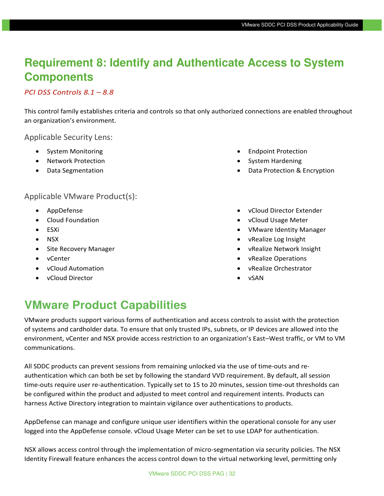## **Requirement 8: Identify and Authenticate Access to System Components**

#### *PCI DSS Controls 8.1 – 8.8*

This control family establishes criteria and controls so that only authorized connections are enabled throughout an organization's environment.

Applicable Security Lens:

- System Monitoring
- Network Protection
- Data Segmentation

#### Applicable VMware Product(s):

- AppDefense
- Cloud Foundation
- ESXi
- NSX
- Site Recovery Manager
- vCenter
- vCloud Automation
- vCloud Director
- Endpoint Protection
- System Hardening
- Data Protection & Encryption
- vCloud Director Extender
- vCloud Usage Meter
- VMware Identity Manager
- vRealize Log Insight
- vRealize Network Insight
- vRealize Operations
- vRealize Orchestrator
- vSAN

## **VMware Product Capabilities**

VMware products support various forms of authentication and access controls to assist with the protection of systems and cardholder data. To ensure that only trusted IPs, subnets, or IP devices are allowed into the environment, vCenter and NSX provide access restriction to an organization's East–West traffic, or VM to VM communications.

All SDDC products can prevent sessions from remaining unlocked via the use of time-outs and reauthentication which can both be set by following the standard VVD requirement. By default, all session time-outs require user re-authentication. Typically set to 15 to 20 minutes, session time-out thresholds can be configured within the product and adjusted to meet control and requirement intents. Products can harness Active Directory integration to maintain vigilance over authentications to products.

AppDefense can manage and configure unique user identifiers within the operational console for any user logged into the AppDefense console. vCloud Usage Meter can be set to use LDAP for authentication.

NSX allows access control through the implementation of micro-segmentation via security policies. The NSX Identity Firewall feature enhances the access control down to the virtual networking level, permitting only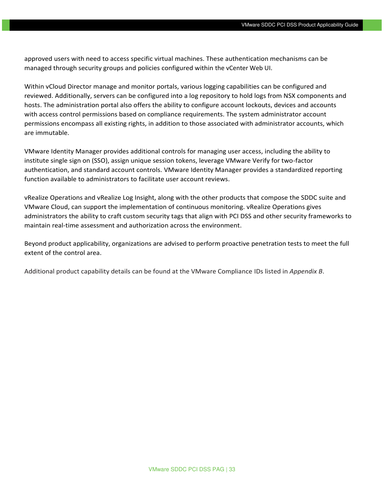approved users with need to access specific virtual machines. These authentication mechanisms can be managed through security groups and policies configured within the vCenter Web UI.

Within vCloud Director manage and monitor portals, various logging capabilities can be configured and reviewed. Additionally, servers can be configured into a log repository to hold logs from NSX components and hosts. The administration portal also offers the ability to configure account lockouts, devices and accounts with access control permissions based on compliance requirements. The system administrator account permissions encompass all existing rights, in addition to those associated with administrator accounts, which are immutable.

VMware Identity Manager provides additional controls for managing user access, including the ability to institute single sign on (SSO), assign unique session tokens, leverage VMware Verify for two-factor authentication, and standard account controls. VMware Identity Manager provides a standardized reporting function available to administrators to facilitate user account reviews.

vRealize Operations and vRealize Log Insight, along with the other products that compose the SDDC suite and VMware Cloud, can support the implementation of continuous monitoring. vRealize Operations gives administrators the ability to craft custom security tags that align with PCI DSS and other security frameworks to maintain real-time assessment and authorization across the environment.

Beyond product applicability, organizations are advised to perform proactive penetration tests to meet the full extent of the control area.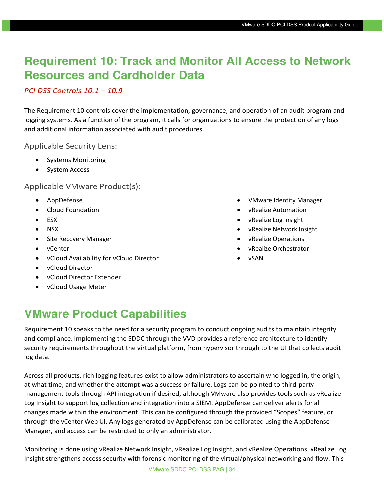## **Requirement 10: Track and Monitor All Access to Network Resources and Cardholder Data**

#### *PCI DSS Controls 10.1 – 10.9*

The Requirement 10 controls cover the implementation, governance, and operation of an audit program and logging systems. As a function of the program, it calls for organizations to ensure the protection of any logs and additional information associated with audit procedures.

#### Applicable Security Lens:

- Systems Monitoring
- System Access

Applicable VMware Product(s):

- AppDefense
- Cloud Foundation
- ESXi
- NSX
- Site Recovery Manager
- vCenter
- vCloud Availability for vCloud Director
- vCloud Director
- vCloud Director Extender
- vCloud Usage Meter
- VMware Identity Manager
- vRealize Automation
- vRealize Log Insight
- vRealize Network Insight
- vRealize Operations
- vRealize Orchestrator
- vSAN

## **VMware Product Capabilities**

Requirement 10 speaks to the need for a security program to conduct ongoing audits to maintain integrity and compliance. Implementing the SDDC through the VVD provides a reference architecture to identify security requirements throughout the virtual platform, from hypervisor through to the UI that collects audit log data.

Across all products, rich logging features exist to allow administrators to ascertain who logged in, the origin, at what time, and whether the attempt was a success or failure. Logs can be pointed to third-party management tools through API integration if desired, although VMware also provides tools such as vRealize Log Insight to support log collection and integration into a SIEM. AppDefense can deliver alerts for all changes made within the environment. This can be configured through the provided "Scopes" feature, or through the vCenter Web UI. Any logs generated by AppDefense can be calibrated using the AppDefense Manager, and access can be restricted to only an administrator.

Monitoring is done using vRealize Network Insight, vRealize Log Insight, and vRealize Operations. vRealize Log Insight strengthens access security with forensic monitoring of the virtual/physical networking and flow. This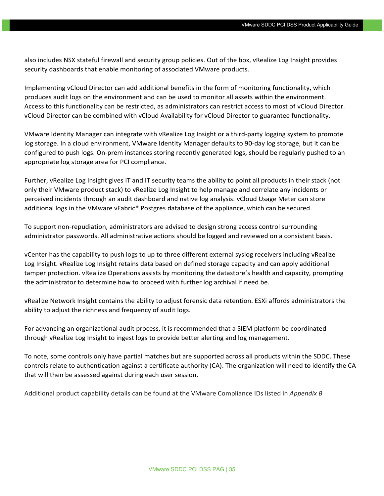also includes NSX stateful firewall and security group policies. Out of the box, vRealize Log Insight provides security dashboards that enable monitoring of associated VMware products.

Implementing vCloud Director can add additional benefits in the form of monitoring functionality, which produces audit logs on the environment and can be used to monitor all assets within the environment. Access to this functionality can be restricted, as administrators can restrict access to most of vCloud Director. vCloud Director can be combined with vCloud Availability for vCloud Director to guarantee functionality.

VMware Identity Manager can integrate with vRealize Log Insight or a third-party logging system to promote log storage. In a cloud environment, VMware Identity Manager defaults to 90-day log storage, but it can be configured to push logs. On-prem instances storing recently generated logs, should be regularly pushed to an appropriate log storage area for PCI compliance.

Further, vRealize Log Insight gives IT and IT security teams the ability to point all products in their stack (not only their VMware product stack) to vRealize Log Insight to help manage and correlate any incidents or perceived incidents through an audit dashboard and native log analysis. vCloud Usage Meter can store additional logs in the VMware vFabric® Postgres database of the appliance, which can be secured.

To support non-repudiation, administrators are advised to design strong access control surrounding administrator passwords. All administrative actions should be logged and reviewed on a consistent basis.

vCenter has the capability to push logs to up to three different external syslog receivers including vRealize Log Insight. vRealize Log Insight retains data based on defined storage capacity and can apply additional tamper protection. vRealize Operations assists by monitoring the datastore's health and capacity, prompting the administrator to determine how to proceed with further log archival if need be.

vRealize Network Insight contains the ability to adjust forensic data retention. ESXi affords administrators the ability to adjust the richness and frequency of audit logs.

For advancing an organizational audit process, it is recommended that a SIEM platform be coordinated through vRealize Log Insight to ingest logs to provide better alerting and log management.

To note, some controls only have partial matches but are supported across all products within the SDDC. These controls relate to authentication against a certificate authority (CA). The organization will need to identify the CA that will then be assessed against during each user session.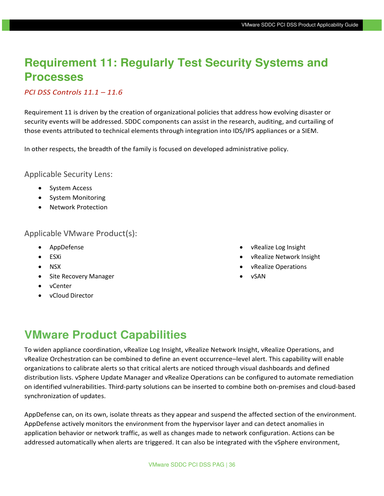## **Requirement 11: Regularly Test Security Systems and Processes**

#### *PCI DSS Controls 11.1 – 11.6*

Requirement 11 is driven by the creation of organizational policies that address how evolving disaster or security events will be addressed. SDDC components can assist in the research, auditing, and curtailing of those events attributed to technical elements through integration into IDS/IPS appliances or a SIEM.

In other respects, the breadth of the family is focused on developed administrative policy.

Applicable Security Lens:

- System Access
- System Monitoring
- Network Protection

#### Applicable VMware Product(s):

- AppDefense
- ESXi
- NSX
- Site Recovery Manager
- vCenter
- vCloud Director
- vRealize Log Insight
- vRealize Network Insight
- vRealize Operations
- vSAN

## **VMware Product Capabilities**

To widen appliance coordination, vRealize Log Insight, vRealize Network Insight, vRealize Operations, and vRealize Orchestration can be combined to define an event occurrence–level alert. This capability will enable organizations to calibrate alerts so that critical alerts are noticed through visual dashboards and defined distribution lists. vSphere Update Manager and vRealize Operations can be configured to automate remediation on identified vulnerabilities. Third-party solutions can be inserted to combine both on-premises and cloud-based synchronization of updates.

AppDefense can, on its own, isolate threats as they appear and suspend the affected section of the environment. AppDefense actively monitors the environment from the hypervisor layer and can detect anomalies in application behavior or network traffic, as well as changes made to network configuration. Actions can be addressed automatically when alerts are triggered. It can also be integrated with the vSphere environment,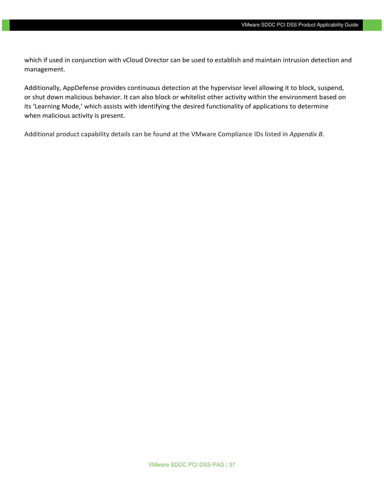which if used in conjunction with vCloud Director can be used to establish and maintain intrusion detection and management.

Additionally, AppDefense provides continuous detection at the hypervisor level allowing it to block, suspend, or shut down malicious behavior. It can also block or whitelist other activity within the environment based on its 'Learning Mode,' which assists with identifying the desired functionality of applications to determine when malicious activity is present.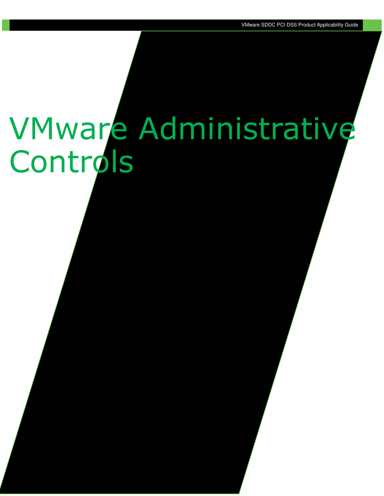# VMware Administrative **Controls**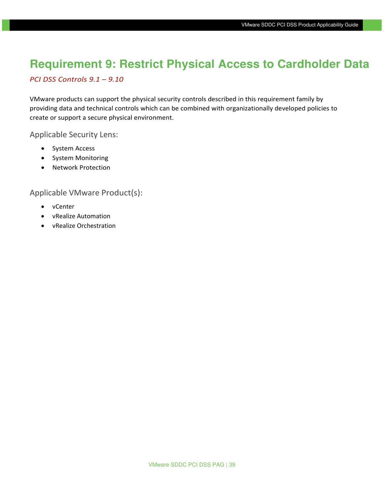## **Requirement 9: Restrict Physical Access to Cardholder Data**

#### *PCI DSS Controls 9.1 – 9.10*

VMware products can support the physical security controls described in this requirement family by providing data and technical controls which can be combined with organizationally developed policies to create or support a secure physical environment.

Applicable Security Lens:

- System Access
- System Monitoring
- Network Protection

Applicable VMware Product(s):

- vCenter
- vRealize Automation
- vRealize Orchestration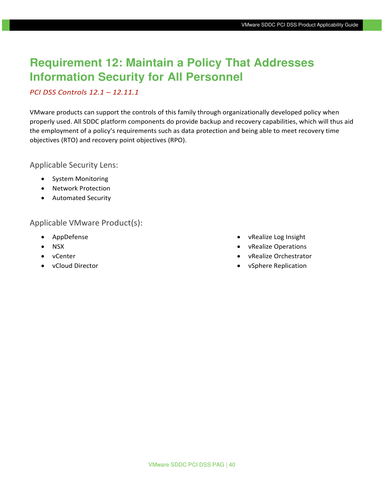## **Requirement 12: Maintain a Policy That Addresses Information Security for All Personnel**

#### *PCI DSS Controls 12.1 – 12.11.1*

VMware products can support the controls of this family through organizationally developed policy when properly used. All SDDC platform components do provide backup and recovery capabilities, which will thus aid the employment of a policy's requirements such as data protection and being able to meet recovery time objectives (RTO) and recovery point objectives (RPO).

Applicable Security Lens:

- System Monitoring
- Network Protection
- Automated Security

Applicable VMware Product(s):

- AppDefense
- NSX
- vCenter
- vCloud Director
- vRealize Log Insight
- vRealize Operations
- vRealize Orchestrator
- vSphere Replication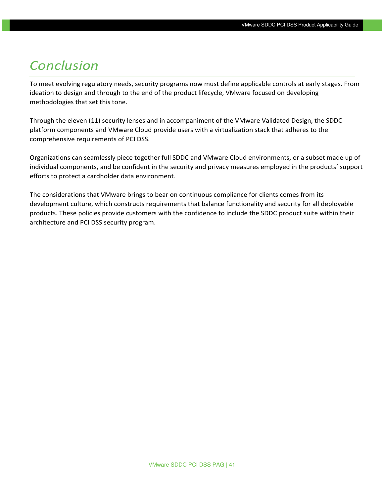## <span id="page-40-0"></span>*Conclusion*

To meet evolving regulatory needs, security programs now must define applicable controls at early stages. From ideation to design and through to the end of the product lifecycle, VMware focused on developing methodologies that set this tone.

Through the eleven (11) security lenses and in accompaniment of the VMware Validated Design, the SDDC platform components and VMware Cloud provide users with a virtualization stack that adheres to the comprehensive requirements of PCI DSS.

Organizations can seamlessly piece together full SDDC and VMware Cloud environments, or a subset made up of individual components, and be confident in the security and privacy measures employed in the products' support efforts to protect a cardholder data environment.

The considerations that VMware brings to bear on continuous compliance for clients comes from its development culture, which constructs requirements that balance functionality and security for all deployable products. These policies provide customers with the confidence to include the SDDC product suite within their architecture and PCI DSS security program.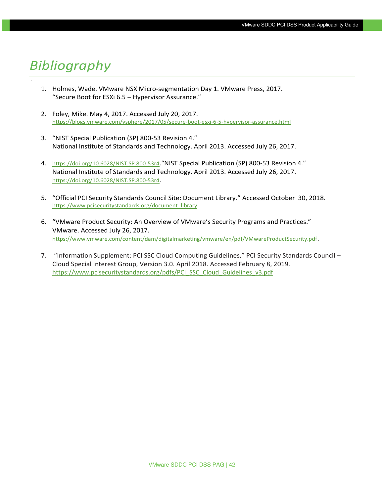## <span id="page-41-0"></span>*Bibliography*

'

- 1. Holmes, Wade. VMware NSX Micro-segmentation Day 1. VMware Press, 2017. "Secure Boot for ESXi 6.5 – Hypervisor Assurance."
- 2. Foley, Mike. May 4, 2017. Accessed July 20, 2017. <https://blogs.vmware.com/vsphere/2017/05/secure-boot-esxi-6-5-hypervisor-assurance.html>
- 3. "NIST Special Publication (SP) 800-53 Revision 4." National Institute of Standards and Technology. April 2013. Accessed July 26, 2017.
- 4. <https://doi.org/10.6028/NIST.SP.800-53r4>."NIST Special Publication (SP) 800-53 Revision 4." National Institute of Standards and Technology. April 2013. Accessed July 26, 2017. <https://doi.org/10.6028/NIST.SP.800-53r4>.
- 5. "Official PCI Security Standards Council Site: Document Library." Accessed October 30, 2018. https://www.pcisecuritystandards.org/document\_library
- 6. "VMware Product Security: An Overview of VMware's Security Programs and Practices." VMware. Accessed July 26, 2017. <https://www.vmware.com/content/dam/digitalmarketing/vmware/en/pdf/VMwareProductSecurity.pdf>.
- 7. "Information Supplement: PCI SSC Cloud Computing Guidelines," PCI Security Standards Council Cloud Special Interest Group, Version 3.0. April 2018. Accessed February 8, 2019. [https://www.pcisecuritystandards.org/pdfs/PCI\\_SSC\\_Cloud\\_Guidelines\\_v3.pdf](https://www.pcisecuritystandards.org/pdfs/PCI_SSC_Cloud_Guidelines_v3.pdf)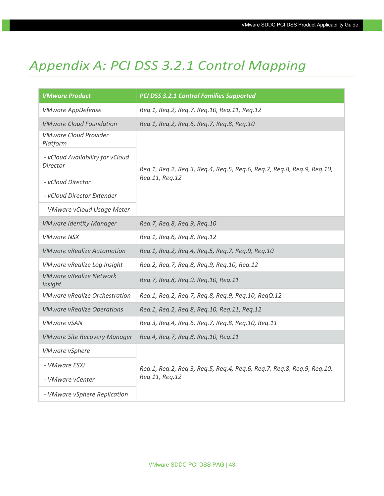## <span id="page-42-0"></span>*Appendix A: PCI DSS 3.2.1 Control Mapping*

| <b>VMware Product</b>                        | <b>PCI DSS 3.2.1 Control Families Supported</b>                        |
|----------------------------------------------|------------------------------------------------------------------------|
| <b>VMware AppDefense</b>                     | Req.1, Req.2, Req.7, Req.10, Req.11, Req.12                            |
| <b>VMware Cloud Foundation</b>               | Req.1, Req.2, Req.6, Req.7, Req.8, Req.10                              |
| <b>VMware Cloud Provider</b><br>Platform     |                                                                        |
| - vCloud Availability for vCloud<br>Director | Req.1, Req.2, Req.3, Req.4, Req.5, Req.6, Req.7, Req.8, Req.9, Req.10, |
| - vCloud Director                            | Reg.11, Reg.12                                                         |
| - vCloud Director Extender                   |                                                                        |
| - VMware vCloud Usage Meter                  |                                                                        |
| <b>VMware Identity Manager</b>               | Reg.7, Reg.8, Reg.9, Reg.10                                            |
| <b>VMware NSX</b>                            | Req.1, Req.6, Req.8, Req.12                                            |
| <b>VMware vRealize Automation</b>            | Req.1, Req.2, Req.4, Req.5, Req.7, Req.9, Req.10                       |
| VMware vRealize Log Insight                  | Req.2, Req.7, Req.8, Req.9, Req.10, Req.12                             |
| <b>VMware vRealize Network</b><br>Insight    | Req.7, Req.8, Req.9, Req.10, Req.11                                    |
| <b>VMware vRealize Orchestration</b>         | Req.1, Req.2, Req.7, Req.8, Req.9, Req.10, ReqQ.12                     |
| <b>VMware vRealize Operations</b>            | Req.1, Req.2, Req.8, Req.10, Req.11, Req.12                            |
| <b>VMware vSAN</b>                           | Req.3, Req.4, Req.6, Req.7, Req.8, Req.10, Req.11                      |
| <b>VMware Site Recovery Manager</b>          | Req.4, Req.7, Req.8, Req.10, Req.11                                    |
| <b>VMware vSphere</b>                        |                                                                        |
| - VMware ESXi                                | Req.1, Req.2, Req.3, Req.5, Req.4, Req.6, Req.7, Req.8, Req.9, Req.10, |
| - VMware vCenter                             | Reg.11, Reg.12                                                         |
| - VMware vSphere Replication                 |                                                                        |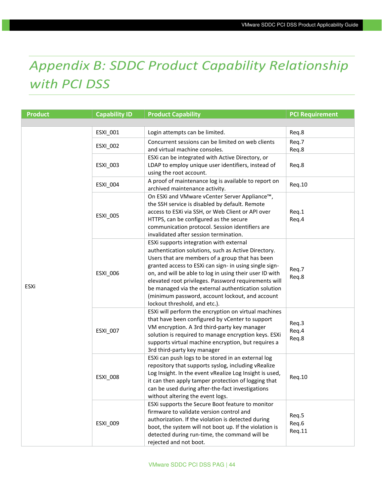# <span id="page-43-0"></span>*Appendix B: SDDC Product Capability Relationship with PCI DSS*

| <b>Product</b> | <b>Capability ID</b>                                                                                                                                                                                                                                                    | <b>Product Capability</b>                                                                                                                                                                                                                                                                                                                                                                                                                                                 | <b>PCI Requirement</b>   |
|----------------|-------------------------------------------------------------------------------------------------------------------------------------------------------------------------------------------------------------------------------------------------------------------------|---------------------------------------------------------------------------------------------------------------------------------------------------------------------------------------------------------------------------------------------------------------------------------------------------------------------------------------------------------------------------------------------------------------------------------------------------------------------------|--------------------------|
|                |                                                                                                                                                                                                                                                                         |                                                                                                                                                                                                                                                                                                                                                                                                                                                                           |                          |
|                | ESXI_001                                                                                                                                                                                                                                                                | Login attempts can be limited.                                                                                                                                                                                                                                                                                                                                                                                                                                            | Req.8                    |
|                | <b>ESXI 002</b>                                                                                                                                                                                                                                                         | Concurrent sessions can be limited on web clients<br>and virtual machine consoles.                                                                                                                                                                                                                                                                                                                                                                                        | Req.7<br>Req.8           |
|                | ESXI_003                                                                                                                                                                                                                                                                | ESXi can be integrated with Active Directory, or<br>LDAP to employ unique user identifiers, instead of<br>using the root account.                                                                                                                                                                                                                                                                                                                                         | Req.8                    |
|                | ESXI_004                                                                                                                                                                                                                                                                | A proof of maintenance log is available to report on<br>archived maintenance activity.                                                                                                                                                                                                                                                                                                                                                                                    | Req.10                   |
|                | <b>ESXI_005</b>                                                                                                                                                                                                                                                         | On ESXi and VMware vCenter Server Appliance™,<br>the SSH service is disabled by default. Remote<br>access to ESXi via SSH, or Web Client or API over<br>HTTPS, can be configured as the secure<br>communication protocol. Session identifiers are<br>invalidated after session termination.                                                                                                                                                                               | Req.1<br>Req.4           |
| ESXi           | ESXI_006                                                                                                                                                                                                                                                                | ESXi supports integration with external<br>authentication solutions, such as Active Directory.<br>Users that are members of a group that has been<br>granted access to ESXi can sign- in using single sign-<br>on, and will be able to log in using their user ID with<br>elevated root privileges. Password requirements will<br>be managed via the external authentication solution<br>(minimum password, account lockout, and account<br>lockout threshold, and etc.). | Req.7<br>Req.8           |
|                | that have been configured by vCenter to support<br>VM encryption. A 3rd third-party key manager<br>ESXI_007<br>3rd third-party key manager<br>ESXi can push logs to be stored in an external log<br><b>ESXI_008</b><br>can be used during after-the-fact investigations | ESXi will perform the encryption on virtual machines<br>solution is required to manage encryption keys. ESXi<br>supports virtual machine encryption, but requires a                                                                                                                                                                                                                                                                                                       | Req.3<br>Req.4<br>Req.8  |
|                |                                                                                                                                                                                                                                                                         | repository that supports syslog, including vRealize<br>Log Insight. In the event vRealize Log Insight is used,<br>it can then apply tamper protection of logging that<br>without altering the event logs.                                                                                                                                                                                                                                                                 | Req.10                   |
|                | ESXI_009                                                                                                                                                                                                                                                                | ESXi supports the Secure Boot feature to monitor<br>firmware to validate version control and<br>authorization. If the violation is detected during<br>boot, the system will not boot up. If the violation is<br>detected during run-time, the command will be<br>rejected and not boot.                                                                                                                                                                                   | Req.5<br>Req.6<br>Req.11 |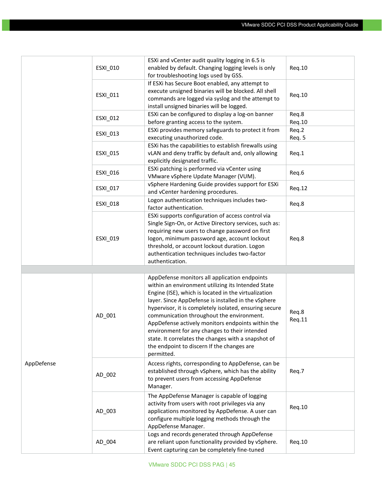|            | ESXI_010        | ESXi and vCenter audit quality logging in 6.5 is<br>enabled by default. Changing logging levels is only<br>for troubleshooting logs used by GSS.                                                                                                                                                                                                                               | Req.10          |
|------------|-----------------|--------------------------------------------------------------------------------------------------------------------------------------------------------------------------------------------------------------------------------------------------------------------------------------------------------------------------------------------------------------------------------|-----------------|
|            | <b>ESXI 011</b> | If ESXi has Secure Boot enabled, any attempt to<br>execute unsigned binaries will be blocked. All shell<br>commands are logged via syslog and the attempt to<br>install unsigned binaries will be logged.                                                                                                                                                                      | Req.10          |
|            | ESXI_012        | ESXi can be configured to display a log-on banner<br>before granting access to the system.                                                                                                                                                                                                                                                                                     | Req.8<br>Req.10 |
|            | ESXI_013        | ESXi provides memory safeguards to protect it from<br>executing unauthorized code.                                                                                                                                                                                                                                                                                             | Req.2<br>Req. 5 |
|            | ESXI_015        | ESXi has the capabilities to establish firewalls using<br>vLAN and deny traffic by default and, only allowing<br>explicitly designated traffic.                                                                                                                                                                                                                                | Req.1           |
|            | ESXI_016        | ESXi patching is performed via vCenter using<br>VMware vSphere Update Manager (VUM).                                                                                                                                                                                                                                                                                           | Req.6           |
|            | ESXI_017        | vSphere Hardening Guide provides support for ESXi<br>and vCenter hardening procedures.                                                                                                                                                                                                                                                                                         | Req.12          |
|            | ESXI_018        | Logon authentication techniques includes two-<br>factor authentication.                                                                                                                                                                                                                                                                                                        | Req.8           |
|            | ESXI_019        | ESXi supports configuration of access control via<br>Single Sign-On, or Active Directory services, such as:<br>requiring new users to change password on first<br>logon, minimum password age, account lockout<br>threshold, or account lockout duration. Logon<br>authentication techniques includes two-factor<br>authentication.                                            | Req.8           |
|            |                 |                                                                                                                                                                                                                                                                                                                                                                                |                 |
|            | AD_001          | AppDefense monitors all application endpoints<br>within an environment utilizing its Intended State<br>Engine (ISE), which is located in the virtualization<br>layer. Since AppDefense is installed in the vSphere<br>hypervisor, it is completely isolated, ensuring secure<br>communication throughout the environment.<br>AppDefense actively monitors endpoints within the | Req.8<br>Req.11 |
|            |                 | environment for any changes to their intended<br>state. It correlates the changes with a snapshot of<br>the endpoint to discern If the changes are<br>permitted.                                                                                                                                                                                                               |                 |
| AppDefense | AD_002          | Access rights, corresponding to AppDefense, can be<br>established through vSphere, which has the ability<br>to prevent users from accessing AppDefense<br>Manager.                                                                                                                                                                                                             | Req.7           |
|            | AD_003          | The AppDefense Manager is capable of logging<br>activity from users with root privileges via any<br>applications monitored by AppDefense. A user can<br>configure multiple logging methods through the<br>AppDefense Manager.                                                                                                                                                  | Req.10          |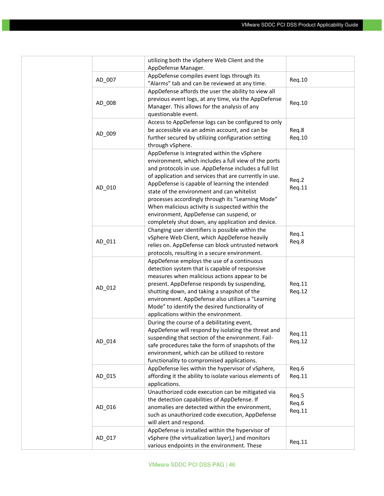|        | utilizing both the vSphere Web Client and the                                                                                                                                                                                                                                                                                                                                                                                                                                                                                  |                          |
|--------|--------------------------------------------------------------------------------------------------------------------------------------------------------------------------------------------------------------------------------------------------------------------------------------------------------------------------------------------------------------------------------------------------------------------------------------------------------------------------------------------------------------------------------|--------------------------|
|        | AppDefense Manager.                                                                                                                                                                                                                                                                                                                                                                                                                                                                                                            |                          |
| AD_007 | AppDefense compiles event logs through its<br>"Alarms" tab and can be reviewed at any time.                                                                                                                                                                                                                                                                                                                                                                                                                                    | Req.10                   |
| AD 008 | AppDefense affords the user the ability to view all<br>previous event logs, at any time, via the AppDefense<br>Manager. This allows for the analysis of any<br>questionable event.                                                                                                                                                                                                                                                                                                                                             | Req.10                   |
| AD_009 | Access to AppDefense logs can be configured to only<br>be accessible via an admin account, and can be<br>further secured by utilizing configuration setting<br>through vSphere.                                                                                                                                                                                                                                                                                                                                                | Req.8<br>Req.10          |
| AD_010 | AppDefense is integrated within the vSphere<br>environment, which includes a full view of the ports<br>and protocols in use. AppDefense includes a full list<br>of application and services that are currently in use.<br>AppDefense is capable of learning the intended<br>state of the environment and can whitelist<br>processes accordingly through its "Learning Mode"<br>When malicious activity is suspected within the<br>environment, AppDefense can suspend, or<br>completely shut down, any application and device. | Req.2<br>Req.11          |
| AD_011 | Changing user identifiers is possible within the<br>vSphere Web Client, which AppDefense heavily<br>relies on. AppDefense can block untrusted network<br>protocols, resulting in a secure environment.                                                                                                                                                                                                                                                                                                                         | Req.1<br>Req.8           |
| AD_012 | AppDefense employs the use of a continuous<br>detection system that is capable of responsive<br>measures when malicious actions appear to be<br>present. AppDefense responds by suspending,<br>shutting down, and taking a snapshot of the<br>environment. AppDefense also utilizes a "Learning<br>Mode" to identify the desired functionality of<br>applications within the environment.                                                                                                                                      | Req.11<br>Req.12         |
| AD_014 | During the course of a debilitating event,<br>AppDefense will respond by isolating the threat and<br>suspending that section of the environment. Fail-<br>safe procedures take the form of snapshots of the<br>environment, which can be utilized to restore<br>functionality to compromised applications.                                                                                                                                                                                                                     | Req.11<br>Req.12         |
| AD_015 | AppDefense lies within the hypervisor of vSphere,<br>affording it the ability to isolate various elements of<br>applications.                                                                                                                                                                                                                                                                                                                                                                                                  | Req.6<br>Req.11          |
| AD_016 | Unauthorized code execution can be mitigated via<br>the detection capabilities of AppDefense. If<br>anomalies are detected within the environment,<br>such as unauthorized code execution, AppDefense<br>will alert and respond.                                                                                                                                                                                                                                                                                               | Req.5<br>Req.6<br>Req.11 |
| AD_017 | AppDefense is installed within the hypervisor of<br>vSphere (the virtualization layer),) and monitors<br>various endpoints in the environment. These                                                                                                                                                                                                                                                                                                                                                                           | Req.11                   |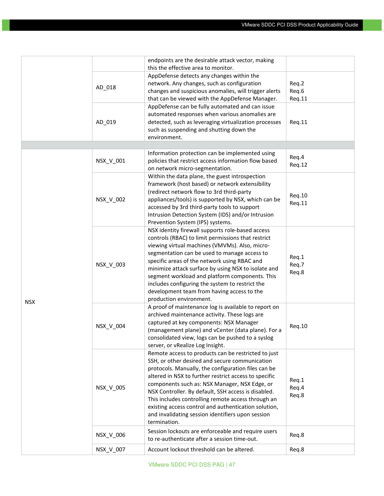|            |           | endpoints are the desirable attack vector, making     |        |
|------------|-----------|-------------------------------------------------------|--------|
|            |           | this the effective area to monitor.                   |        |
|            |           | AppDefense detects any changes within the             |        |
|            | AD_018    | network. Any changes, such as configuration           | Req.2  |
|            |           | changes and suspicious anomalies, will trigger alerts | Req.6  |
|            |           | that can be viewed with the AppDefense Manager.       | Req.11 |
|            |           | AppDefense can be fully automated and can issue       |        |
|            |           | automated responses when various anomalies are        |        |
|            | AD 019    | detected, such as leveraging virtualization processes | Req.11 |
|            |           | such as suspending and shutting down the              |        |
|            |           | environment.                                          |        |
|            |           |                                                       |        |
|            |           | Information protection can be implemented using       | Req.4  |
|            | NSX_V_001 | policies that restrict access information flow based  | Req.12 |
|            |           | on network micro-segmentation.                        |        |
|            |           | Within the data plane, the guest introspection        |        |
|            |           | framework (host based) or network extensibility       |        |
|            |           | (redirect network flow to 3rd third-party             |        |
|            | NSX_V_002 | appliances/tools) is supported by NSX, which can be   | Req.10 |
|            |           | accessed by 3rd third-party tools to support          | Req.11 |
|            |           | Intrusion Detection System (IDS) and/or Intrusion     |        |
|            |           | Prevention System (IPS) systems.                      |        |
|            |           | NSX identity firewall supports role-based access      |        |
|            |           | controls (RBAC) to limit permissions that restrict    |        |
|            | NSX_V_003 | viewing virtual machines (VMVMs). Also, micro-        |        |
|            |           | segmentation can be used to manage access to          |        |
|            |           | specific areas of the network using RBAC and          | Req.1  |
|            |           | minimize attack surface by using NSX to isolate and   | Req.7  |
|            |           | segment workload and platform components. This        | Req.8  |
|            |           | includes configuring the system to restrict the       |        |
|            |           | development team from having access to the            |        |
|            |           | production environment.                               |        |
| <b>NSX</b> |           | A proof of maintenance log is available to report on  |        |
|            |           | archived maintenance activity. These logs are         |        |
|            |           | captured at key components: NSX Manager               |        |
|            | NSX_V_004 | (management plane) and vCenter (data plane). For a    | Req.10 |
|            |           | consolidated view, logs can be pushed to a syslog     |        |
|            |           | server, or vRealize Log Insight.                      |        |
|            |           | Remote access to products can be restricted to just   |        |
|            |           | SSH, or other desired and secure communication        |        |
|            |           | protocols. Manually, the configuration files can be   |        |
|            |           | altered in NSX to further restrict access to specific |        |
|            |           | components such as: NSX Manager, NSX Edge, or         | Req.1  |
|            | NSX_V_005 | NSX Controller. By default, SSH access is disabled.   | Req.4  |
|            |           | This includes controlling remote access through an    | Req.8  |
|            |           | existing access control and authentication solution,  |        |
|            |           | and invalidating session identifiers upon session     |        |
|            |           | termination.                                          |        |
|            |           | Session lockouts are enforceable and require users    |        |
|            | NSX_V_006 | to re-authenticate after a session time-out.          | Req.8  |
|            | NSX_V_007 | Account lockout threshold can be altered.             | Req.8  |
|            |           |                                                       |        |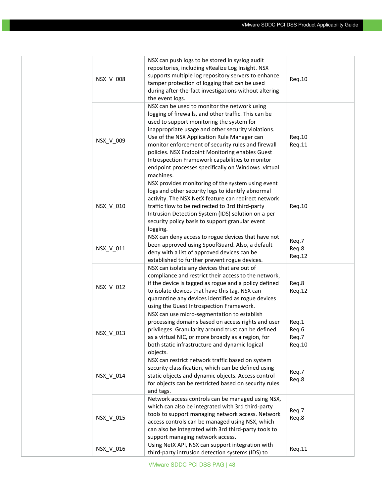| NSX V 008 | NSX can push logs to be stored in syslog audit<br>repositories, including vRealize Log Insight. NSX<br>supports multiple log repository servers to enhance<br>tamper protection of logging that can be used<br>during after-the-fact investigations without altering<br>the event logs.                                                                                                                                                                                                | Req.10                            |
|-----------|----------------------------------------------------------------------------------------------------------------------------------------------------------------------------------------------------------------------------------------------------------------------------------------------------------------------------------------------------------------------------------------------------------------------------------------------------------------------------------------|-----------------------------------|
| NSX_V_009 | NSX can be used to monitor the network using<br>logging of firewalls, and other traffic. This can be<br>used to support monitoring the system for<br>inappropriate usage and other security violations.<br>Use of the NSX Application Rule Manager can<br>monitor enforcement of security rules and firewall<br>policies. NSX Endpoint Monitoring enables Guest<br>Introspection Framework capabilities to monitor<br>endpoint processes specifically on Windows .virtual<br>machines. | Req.10<br>Req.11                  |
| NSX_V_010 | NSX provides monitoring of the system using event<br>logs and other security logs to identify abnormal<br>activity. The NSX NetX feature can redirect network<br>traffic flow to be redirected to 3rd third-party<br>Intrusion Detection System (IDS) solution on a per<br>security policy basis to support granular event<br>logging.                                                                                                                                                 | Req.10                            |
| NSX_V_011 | NSX can deny access to rogue devices that have not<br>been approved using SpoofGuard. Also, a default<br>deny with a list of approved devices can be<br>established to further prevent rogue devices.                                                                                                                                                                                                                                                                                  | Req.7<br>Req.8<br>Req.12          |
| NSX_V_012 | NSX can isolate any devices that are out of<br>compliance and restrict their access to the network,<br>if the device is tagged as rogue and a policy defined<br>to isolate devices that have this tag. NSX can<br>quarantine any devices identified as rogue devices<br>using the Guest Introspection Framework.                                                                                                                                                                       | Req.8<br>Req.12                   |
| NSX_V_013 | NSX can use micro-segmentation to establish<br>processing domains based on access rights and user<br>privileges. Granularity around trust can be defined<br>as a virtual NIC, or more broadly as a region, for<br>both static infrastructure and dynamic logical<br>objects.                                                                                                                                                                                                           | Req.1<br>Req.6<br>Req.7<br>Req.10 |
| NSX V 014 | NSX can restrict network traffic based on system<br>security classification, which can be defined using<br>static objects and dynamic objects. Access control<br>for objects can be restricted based on security rules<br>and tags.                                                                                                                                                                                                                                                    | Req.7<br>Req.8                    |
| NSX_V_015 | Network access controls can be managed using NSX,<br>which can also be integrated with 3rd third-party<br>tools to support managing network access. Network<br>access controls can be managed using NSX, which<br>can also be integrated with 3rd third-party tools to<br>support managing network access.                                                                                                                                                                             | Req.7<br>Req.8                    |
| NSX_V_016 | Using NetX API, NSX can support integration with<br>third-party intrusion detection systems (IDS) to                                                                                                                                                                                                                                                                                                                                                                                   | Req.11                            |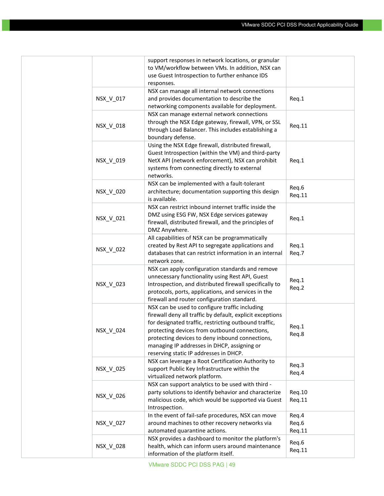|           | support responses in network locations, or granular<br>to VM/workflow between VMs. In addition, NSX can<br>use Guest Introspection to further enhance IDS<br>responses.                                                                                                                                                                                           |                          |
|-----------|-------------------------------------------------------------------------------------------------------------------------------------------------------------------------------------------------------------------------------------------------------------------------------------------------------------------------------------------------------------------|--------------------------|
| NSX_V_017 | NSX can manage all internal network connections<br>and provides documentation to describe the<br>networking components available for deployment.                                                                                                                                                                                                                  | Req.1                    |
| NSX_V_018 | NSX can manage external network connections<br>through the NSX Edge gateway, firewall, VPN, or SSL<br>through Load Balancer. This includes establishing a<br>boundary defense.                                                                                                                                                                                    | Req.11                   |
| NSX_V_019 | Using the NSX Edge firewall, distributed firewall,<br>Guest Introspection (within the VM) and third-party<br>NetX API (network enforcement), NSX can prohibit<br>systems from connecting directly to external<br>networks.                                                                                                                                        | Req.1                    |
| NSX_V_020 | NSX can be implemented with a fault-tolerant<br>architecture; documentation supporting this design<br>is available.                                                                                                                                                                                                                                               | Req.6<br>Req.11          |
| NSX_V_021 | NSX can restrict inbound internet traffic inside the<br>DMZ using ESG FW, NSX Edge services gateway<br>firewall, distributed firewall, and the principles of<br>DMZ Anywhere.                                                                                                                                                                                     | Req.1                    |
| NSX_V_022 | All capabilities of NSX can be programmatically<br>created by Rest API to segregate applications and<br>databases that can restrict information in an internal<br>network zone.                                                                                                                                                                                   | Req.1<br>Req.7           |
| NSX_V_023 | NSX can apply configuration standards and remove<br>unnecessary functionality using Rest API, Guest<br>Introspection, and distributed firewall specifically to<br>protocols, ports, applications, and services in the<br>firewall and router configuration standard.                                                                                              | Req.1<br>Req.2           |
| NSX_V_024 | NSX can be used to configure traffic including<br>firewall deny all traffic by default, explicit exceptions<br>for designated traffic, restricting outbound traffic,<br>protecting devices from outbound connections,<br>protecting devices to deny inbound connections,<br>managing IP addresses in DHCP, assigning or<br>reserving static IP addresses in DHCP. | Req.1<br>Req.8           |
| NSX_V_025 | NSX can leverage a Root Certification Authority to<br>support Public Key Infrastructure within the<br>virtualized network platform.                                                                                                                                                                                                                               | Req.3<br>Req.4           |
| NSX_V_026 | NSX can support analytics to be used with third -<br>party solutions to identify behavior and characterize<br>malicious code, which would be supported via Guest<br>Introspection.                                                                                                                                                                                | Req.10<br>Req.11         |
| NSX_V_027 | In the event of fail-safe procedures, NSX can move<br>around machines to other recovery networks via<br>automated quarantine actions.                                                                                                                                                                                                                             | Req.4<br>Req.6<br>Req.11 |
| NSX_V_028 | NSX provides a dashboard to monitor the platform's<br>health, which can inform users around maintenance<br>information of the platform itself.                                                                                                                                                                                                                    | Req.6<br>Req.11          |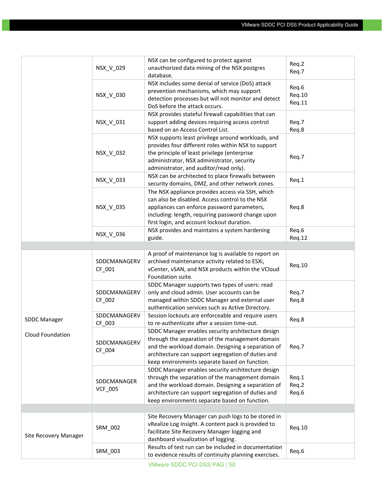|                         |                | NSX can be configured to protect against                                                                      |        |
|-------------------------|----------------|---------------------------------------------------------------------------------------------------------------|--------|
|                         | NSX_V_029      | unauthorized data mining of the NSX postgres                                                                  | Req.2  |
|                         |                | database.                                                                                                     | Req.7  |
|                         |                | NSX includes some denial of service (DoS) attack                                                              |        |
|                         |                | prevention mechanisms, which may support                                                                      | Req.6  |
|                         | NSX_V_030      | detection processes but will not monitor and detect                                                           | Req.10 |
|                         |                | DoS before the attack occurs.                                                                                 | Req.11 |
|                         |                | NSX provides stateful firewall capabilities that can                                                          |        |
|                         | NSX_V_031      | support adding devices requiring access control                                                               | Req.7  |
|                         |                | based on an Access Control List.                                                                              | Req.8  |
|                         |                | NSX supports least privilege around workloads, and                                                            |        |
|                         |                | provides four different roles within NSX to support                                                           |        |
|                         | NSX_V_032      | the principle of least privilege (enterprise                                                                  |        |
|                         |                | administrator, NSX administrator, security                                                                    | Req.7  |
|                         |                | administrator, and auditor/read only).                                                                        |        |
|                         |                | NSX can be architected to place firewalls between                                                             |        |
|                         | NSX_V_033      | security domains, DMZ, and other network zones.                                                               | Req.1  |
|                         |                | The NSX appliance provides access via SSH, which                                                              |        |
|                         |                | can also be disabled. Access control to the NSX                                                               |        |
|                         | NSX_V_035      | appliances can enforce password parameters,                                                                   | Req.8  |
|                         |                | including: length, requiring password change upon                                                             |        |
|                         |                | first login, and account lockout duration.                                                                    |        |
|                         |                | NSX provides and maintains a system hardening                                                                 | Req.6  |
|                         | NSX_V_036      | guide.                                                                                                        | Req.12 |
|                         |                |                                                                                                               |        |
|                         |                | A proof of maintenance log is available to report on                                                          |        |
|                         |                |                                                                                                               |        |
|                         | SDDCMANAGERV   | archived maintenance activity related to ESXi,                                                                |        |
|                         | CF_001         | vCenter, vSAN, and NSX products within the VCloud                                                             | Req.10 |
|                         |                | Foundation suite.                                                                                             |        |
|                         |                | SDDC Manager supports two types of users: read                                                                |        |
|                         | SDDCMANAGERV   | only and cloud admin. User accounts can be                                                                    | Req.7  |
|                         | CF 002         | managed within SDDC Manager and external user                                                                 | Req.8  |
|                         |                | authentication services such as Active Directory.                                                             |        |
|                         | SDDCMANAGERV   | Session lockouts are enforceable and require users                                                            |        |
| <b>SDDC Manager</b>     | CF_003         | to re-authenticate after a session time-out.                                                                  | Req.8  |
|                         |                | SDDC Manager enables security architecture design                                                             |        |
| <b>Cloud Foundation</b> |                | through the separation of the management domain                                                               |        |
|                         | SDDCMANAGERV   | and the workload domain. Designing a separation of                                                            | Req.7  |
|                         | CF_004         | architecture can support segregation of duties and                                                            |        |
|                         |                | keep environments separate based on function.                                                                 |        |
|                         |                | SDDC Manager enables security architecture design                                                             |        |
|                         |                | through the separation of the management domain                                                               | Req.1  |
|                         | SDDCMANAGER    | and the workload domain. Designing a separation of                                                            | Req.2  |
|                         | <b>VCF_005</b> | architecture can support segregation of duties and                                                            | Req.6  |
|                         |                | keep environments separate based on function.                                                                 |        |
|                         |                |                                                                                                               |        |
|                         |                | Site Recovery Manager can push logs to be stored in                                                           |        |
|                         |                | vRealize Log Insight. A content pack is provided to                                                           |        |
|                         | SRM_002        | facilitate Site Recovery Manager logging and                                                                  | Req.10 |
| Site Recovery Manager   |                | dashboard visualization of logging.                                                                           |        |
|                         | SRM_003        | Results of test run can be included in documentation<br>to evidence results of continuity planning exercises. | Req.6  |

VMware SDDC PCI DSS PAG | 50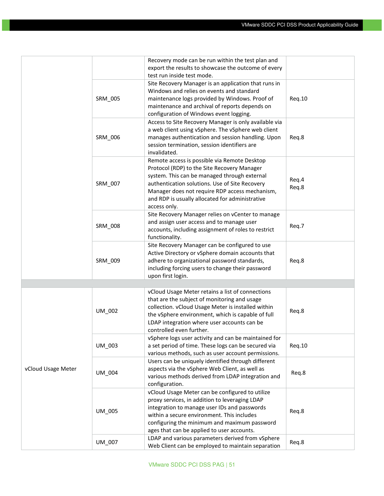|                    |         | Recovery mode can be run within the test plan and                                                                                                                                                                                                                                                                  |                |
|--------------------|---------|--------------------------------------------------------------------------------------------------------------------------------------------------------------------------------------------------------------------------------------------------------------------------------------------------------------------|----------------|
|                    |         | export the results to showcase the outcome of every                                                                                                                                                                                                                                                                |                |
|                    |         | test run inside test mode.                                                                                                                                                                                                                                                                                         |                |
|                    | SRM_005 | Site Recovery Manager is an application that runs in<br>Windows and relies on events and standard<br>maintenance logs provided by Windows. Proof of<br>maintenance and archival of reports depends on<br>configuration of Windows event logging.                                                                   | Req.10         |
|                    | SRM_006 | Access to Site Recovery Manager is only available via<br>a web client using vSphere. The vSphere web client<br>manages authentication and session handling. Upon<br>session termination, session identifiers are<br>invalidated.                                                                                   | Req.8          |
|                    | SRM_007 | Remote access is possible via Remote Desktop<br>Protocol (RDP) to the Site Recovery Manager<br>system. This can be managed through external<br>authentication solutions. Use of Site Recovery<br>Manager does not require RDP access mechanism,<br>and RDP is usually allocated for administrative<br>access only. | Req.4<br>Req.8 |
|                    | SRM_008 | Site Recovery Manager relies on vCenter to manage<br>and assign user access and to manage user<br>accounts, including assignment of roles to restrict<br>functionality.                                                                                                                                            | Req.7          |
|                    | SRM_009 | Site Recovery Manager can be configured to use<br>Active Directory or vSphere domain accounts that<br>adhere to organizational password standards,<br>including forcing users to change their password<br>upon first login.                                                                                        | Req.8          |
|                    |         |                                                                                                                                                                                                                                                                                                                    |                |
|                    | UM_002  | vCloud Usage Meter retains a list of connections<br>that are the subject of monitoring and usage<br>collection. vCloud Usage Meter is installed within<br>the vSphere environment, which is capable of full<br>LDAP integration where user accounts can be<br>controlled even further.                             | Req.8          |
|                    | UM 003  | vSphere logs user activity and can be maintained for<br>a set period of time. These logs can be secured via<br>various methods, such as user account permissions.                                                                                                                                                  | Req.10         |
| vCloud Usage Meter | UM_004  | Users can be uniquely identified through different<br>aspects via the vSphere Web Client, as well as<br>various methods derived from LDAP integration and<br>configuration.                                                                                                                                        | Req.8          |
|                    | UM_005  | vCloud Usage Meter can be configured to utilize<br>proxy services, in addition to leveraging LDAP<br>integration to manage user IDs and passwords<br>within a secure environment. This includes<br>configuring the minimum and maximum password<br>ages that can be applied to user accounts.                      | Req.8          |
|                    | UM_007  | LDAP and various parameters derived from vSphere<br>Web Client can be employed to maintain separation                                                                                                                                                                                                              | Req.8          |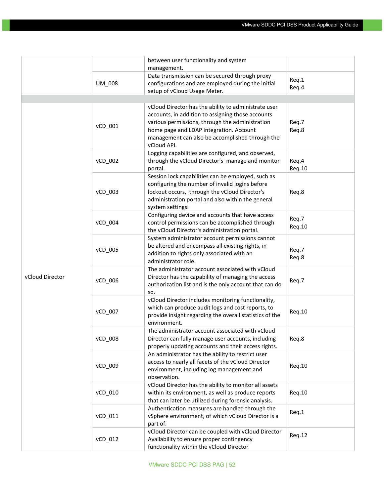|                 |         | between user functionality and system                                                                  |        |
|-----------------|---------|--------------------------------------------------------------------------------------------------------|--------|
|                 |         | management.                                                                                            |        |
|                 |         | Data transmission can be secured through proxy                                                         | Req.1  |
|                 | UM_008  | configurations and are employed during the initial                                                     | Req.4  |
|                 |         | setup of vCloud Usage Meter.                                                                           |        |
|                 |         |                                                                                                        |        |
|                 |         | vCloud Director has the ability to administrate user                                                   |        |
|                 |         | accounts, in addition to assigning those accounts                                                      |        |
|                 | vCD_001 | various permissions, through the administration                                                        | Req.7  |
|                 |         | home page and LDAP integration. Account                                                                | Req.8  |
|                 |         | management can also be accomplished through the                                                        |        |
|                 |         | vCloud API.                                                                                            |        |
|                 |         | Logging capabilities are configured, and observed,                                                     |        |
|                 | vCD_002 | through the vCloud Director's manage and monitor                                                       | Req.4  |
|                 |         | portal.                                                                                                | Req.10 |
|                 |         | Session lock capabilities can be employed, such as<br>configuring the number of invalid logins before  |        |
|                 | vCD_003 | lockout occurs, through the vCloud Director's                                                          | Req.8  |
|                 |         | administration portal and also within the general                                                      |        |
|                 |         | system settings.                                                                                       |        |
|                 |         | Configuring device and accounts that have access                                                       |        |
|                 | vCD_004 | control permissions can be accomplished through                                                        | Req.7  |
|                 |         | the vCloud Director's administration portal.                                                           | Req.10 |
|                 |         | System administrator account permissions cannot                                                        |        |
|                 |         | be altered and encompass all existing rights, in                                                       |        |
|                 | vCD_005 | addition to rights only associated with an                                                             | Req.7  |
|                 |         | administrator role.                                                                                    | Req.8  |
|                 |         | The administrator account associated with vCloud                                                       |        |
| vCloud Director | vCD_006 | Director has the capability of managing the access                                                     | Req.7  |
|                 |         | authorization list and is the only account that can do                                                 |        |
|                 |         | SO.                                                                                                    |        |
|                 |         | vCloud Director includes monitoring functionality,                                                     |        |
|                 | vCD_007 | which can produce audit logs and cost reports, to                                                      | Req.10 |
|                 |         | provide insight regarding the overall statistics of the                                                |        |
|                 |         | environment.                                                                                           |        |
|                 | vCD_008 | The administrator account associated with vCloud<br>Director can fully manage user accounts, including | Reg.8  |
|                 |         | properly updating accounts and their access rights.                                                    |        |
|                 |         | An administrator has the ability to restrict user                                                      |        |
|                 |         | access to nearly all facets of the vCloud Director                                                     |        |
|                 | vCD_009 | environment, including log management and                                                              | Req.10 |
|                 |         | observation.                                                                                           |        |
|                 |         | vCloud Director has the ability to monitor all assets                                                  |        |
|                 | vCD_010 | within its environment, as well as produce reports                                                     | Req.10 |
|                 |         | that can later be utilized during forensic analysis.                                                   |        |
|                 |         | Authentication measures are handled through the                                                        |        |
|                 | vCD 011 | vSphere environment, of which vCloud Director is a                                                     | Req.1  |
|                 |         | part of.                                                                                               |        |
|                 |         | vCloud Director can be coupled with vCloud Director                                                    | Req.12 |
|                 | vCD_012 | Availability to ensure proper contingency                                                              |        |
|                 |         | functionality within the vCloud Director                                                               |        |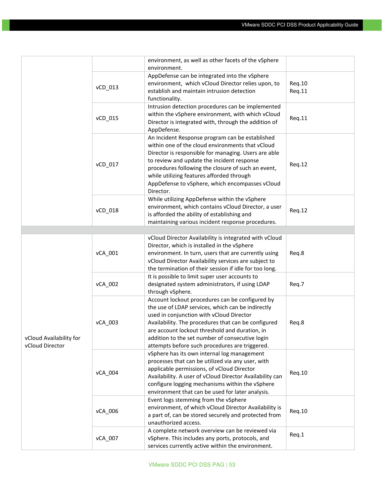|                                            |         | environment, as well as other facets of the vSphere<br>environment.                                                                                                                                                                                                                                                                                                          |                  |
|--------------------------------------------|---------|------------------------------------------------------------------------------------------------------------------------------------------------------------------------------------------------------------------------------------------------------------------------------------------------------------------------------------------------------------------------------|------------------|
|                                            | vCD_013 | AppDefense can be integrated into the vSphere<br>environment, which vCloud Director relies upon, to<br>establish and maintain intrusion detection<br>functionality.                                                                                                                                                                                                          | Req.10<br>Req.11 |
|                                            | vCD_015 | Intrusion detection procedures can be implemented<br>within the vSphere environment, with which vCloud<br>Director is integrated with, through the addition of<br>AppDefense.                                                                                                                                                                                                | Req.11           |
|                                            | vCD_017 | An Incident Response program can be established<br>within one of the cloud environments that vCloud<br>Director is responsible for managing. Users are able<br>to review and update the incident response<br>procedures following the closure of such an event,<br>while utilizing features afforded through<br>AppDefense to vSphere, which encompasses vCloud<br>Director. | Req.12           |
|                                            | vCD_018 | While utilizing AppDefense within the vSphere<br>environment, which contains vCloud Director, a user<br>is afforded the ability of establishing and<br>maintaining various incident response procedures.                                                                                                                                                                     | Req.12           |
|                                            |         |                                                                                                                                                                                                                                                                                                                                                                              |                  |
|                                            | vCA_001 | vCloud Director Availability is integrated with vCloud<br>Director, which is installed in the vSphere<br>environment. In turn, users that are currently using<br>vCloud Director Availability services are subject to<br>the termination of their session if idle for too long.                                                                                              | Req.8            |
|                                            | vCA_002 | It is possible to limit super user accounts to<br>designated system administrators, if using LDAP<br>through vSphere.                                                                                                                                                                                                                                                        | Req.7            |
| vCloud Availability for<br>vCloud Director | vCA_003 | Account lockout procedures can be configured by<br>the use of LDAP services, which can be indirectly<br>used in conjunction with vCloud Director<br>Availability. The procedures that can be configured<br>are account lockout threshold and duration, in<br>addition to the set number of consecutive login<br>attempts before such procedures are triggered.               | Req.8            |
|                                            | vCA_004 | vSphere has its own internal log management<br>processes that can be utilized via any user, with<br>applicable permissions, of vCloud Director<br>Availability. A user of vCloud Director Availability can<br>configure logging mechanisms within the vSphere<br>environment that can be used for later analysis.                                                            | Req.10           |
|                                            | vCA_006 | Event logs stemming from the vSphere<br>environment, of which vCloud Director Availability is<br>a part of, can be stored securely and protected from<br>unauthorized access.                                                                                                                                                                                                | Req.10           |
|                                            | vCA_007 | A complete network overview can be reviewed via<br>vSphere. This includes any ports, protocols, and<br>services currently active within the environment.                                                                                                                                                                                                                     | Req.1            |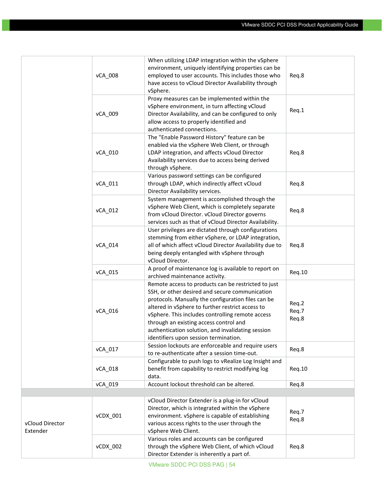|                             | vCA_008  | When utilizing LDAP integration within the vSphere<br>environment, uniquely identifying properties can be<br>employed to user accounts. This includes those who<br>have access to vCloud Director Availability through<br>vSphere.                                                                                                                                                                          | Req.8                   |
|-----------------------------|----------|-------------------------------------------------------------------------------------------------------------------------------------------------------------------------------------------------------------------------------------------------------------------------------------------------------------------------------------------------------------------------------------------------------------|-------------------------|
|                             | vCA_009  | Proxy measures can be implemented within the<br>vSphere environment, in turn affecting vCloud<br>Director Availability, and can be configured to only<br>allow access to properly identified and<br>authenticated connections.                                                                                                                                                                              | Req.1                   |
|                             | vCA_010  | The "Enable Password History" feature can be<br>enabled via the vSphere Web Client, or through<br>LDAP integration, and affects vCloud Director<br>Availability services due to access being derived<br>through vSphere.                                                                                                                                                                                    | Req.8                   |
|                             | vCA_011  | Various password settings can be configured<br>through LDAP, which indirectly affect vCloud<br>Director Availability services.                                                                                                                                                                                                                                                                              | Req.8                   |
|                             | vCA_012  | System management is accomplished through the<br>vSphere Web Client, which is completely separate<br>from vCloud Director. vCloud Director governs<br>services such as that of vCloud Director Availability.                                                                                                                                                                                                | Req.8                   |
|                             | vCA_014  | User privileges are dictated through configurations<br>stemming from either vSphere, or LDAP integration,<br>all of which affect vCloud Director Availability due to<br>being deeply entangled with vSphere through<br>vCloud Director.                                                                                                                                                                     | Req.8                   |
|                             | vCA_015  | A proof of maintenance log is available to report on<br>archived maintenance activity.                                                                                                                                                                                                                                                                                                                      | Req.10                  |
|                             | vCA 016  | Remote access to products can be restricted to just<br>SSH, or other desired and secure communication<br>protocols. Manually the configuration files can be<br>altered in vSphere to further restrict access to<br>vSphere. This includes controlling remote access<br>through an existing access control and<br>authentication solution, and invalidating session<br>identifiers upon session termination. | Req.2<br>Req.7<br>Req.8 |
|                             | vCA_017  | Session lockouts are enforceable and require users<br>to re-authenticate after a session time-out.                                                                                                                                                                                                                                                                                                          | Req.8                   |
|                             | vCA_018  | Configurable to push logs to vRealize Log Insight and<br>benefit from capability to restrict modifying log<br>data.                                                                                                                                                                                                                                                                                         | Req.10                  |
|                             | vCA_019  | Account lockout threshold can be altered.                                                                                                                                                                                                                                                                                                                                                                   | Req.8                   |
|                             |          |                                                                                                                                                                                                                                                                                                                                                                                                             |                         |
| vCloud Director<br>Extender | vCDX_001 | vCloud Director Extender is a plug-in for vCloud<br>Director, which is integrated within the vSphere<br>environment. vSphere is capable of establishing<br>various access rights to the user through the<br>vSphere Web Client.                                                                                                                                                                             | Req.7<br>Req.8          |
|                             | vCDX_002 | Various roles and accounts can be configured<br>through the vSphere Web Client, of which vCloud<br>Director Extender is inherently a part of.                                                                                                                                                                                                                                                               | Req.8                   |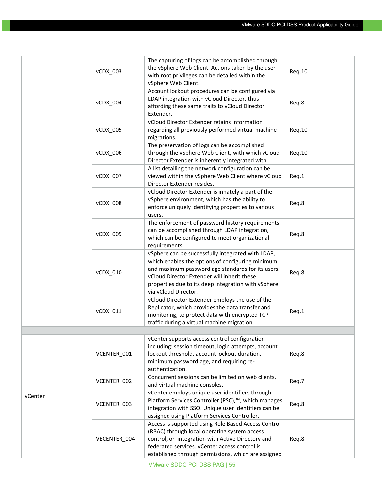|         | vCDX_003     | The capturing of logs can be accomplished through<br>the vSphere Web Client. Actions taken by the user<br>with root privileges can be detailed within the<br>vSphere Web Client.                                                                                                         | Req.10 |
|---------|--------------|------------------------------------------------------------------------------------------------------------------------------------------------------------------------------------------------------------------------------------------------------------------------------------------|--------|
|         | vCDX_004     | Account lockout procedures can be configured via<br>LDAP integration with vCloud Director, thus<br>affording these same traits to vCloud Director<br>Extender.                                                                                                                           | Req.8  |
|         | vCDX_005     | vCloud Director Extender retains information<br>regarding all previously performed virtual machine<br>migrations.                                                                                                                                                                        | Reg.10 |
|         | vCDX_006     | The preservation of logs can be accomplished<br>through the vSphere Web Client, with which vCloud<br>Director Extender is inherently integrated with.                                                                                                                                    | Req.10 |
|         | vCDX_007     | A list detailing the network configuration can be<br>viewed within the vSphere Web Client where vCloud<br>Director Extender resides.                                                                                                                                                     | Req.1  |
|         | vCDX_008     | vCloud Director Extender is innately a part of the<br>vSphere environment, which has the ability to<br>enforce uniquely identifying properties to various<br>users.                                                                                                                      | Req.8  |
|         | vCDX_009     | The enforcement of password history requirements<br>can be accomplished through LDAP integration,<br>which can be configured to meet organizational<br>requirements.                                                                                                                     | Req.8  |
|         | vCDX_010     | vSphere can be successfully integrated with LDAP,<br>which enables the options of configuring minimum<br>and maximum password age standards for its users.<br>vCloud Director Extender will inherit these<br>properties due to its deep integration with vSphere<br>via vCloud Director. | Req.8  |
|         | vCDX_011     | vCloud Director Extender employs the use of the<br>Replicator, which provides the data transfer and<br>monitoring, to protect data with encrypted TCP<br>traffic during a virtual machine migration.                                                                                     | Req.1  |
|         |              |                                                                                                                                                                                                                                                                                          |        |
|         | VCENTER_001  | vCenter supports access control configuration<br>including: session timeout, login attempts, account<br>lockout threshold, account lockout duration,<br>minimum password age, and requiring re-<br>authentication.                                                                       | Req.8  |
|         | VCENTER_002  | Concurrent sessions can be limited on web clients,<br>and virtual machine consoles.                                                                                                                                                                                                      | Req.7  |
| vCenter | VCENTER_003  | vCenter employs unique user identifiers through<br>Platform Services Controller (PSC), <sup>™</sup> , which manages<br>integration with SSO. Unique user identifiers can be<br>assigned using Platform Services Controller.                                                              | Req.8  |
|         | VECENTER_004 | Access is supported using Role Based Access Control<br>(RBAC) through local operating system access<br>control, or integration with Active Directory and<br>federated services. vCenter access control is<br>established through permissions, which are assigned                         | Req.8  |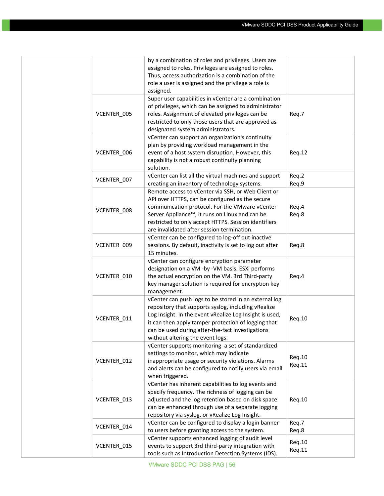|             | by a combination of roles and privileges. Users are<br>assigned to roles. Privileges are assigned to roles.<br>Thus, access authorization is a combination of the<br>role a user is assigned and the privilege a role is<br>assigned.                                                                                  |                  |
|-------------|------------------------------------------------------------------------------------------------------------------------------------------------------------------------------------------------------------------------------------------------------------------------------------------------------------------------|------------------|
| VCENTER_005 | Super user capabilities in vCenter are a combination<br>of privileges, which can be assigned to administrator<br>roles. Assignment of elevated privileges can be<br>restricted to only those users that are approved as<br>designated system administrators.                                                           | Req.7            |
| VCENTER_006 | vCenter can support an organization's continuity<br>plan by providing workload management in the<br>event of a host system disruption. However, this<br>capability is not a robust continuity planning<br>solution.                                                                                                    | Req.12           |
| VCENTER_007 | vCenter can list all the virtual machines and support<br>creating an inventory of technology systems.                                                                                                                                                                                                                  | Req.2<br>Req.9   |
| VCENTER 008 | Remote access to vCenter via SSH, or Web Client or<br>API over HTTPS, can be configured as the secure<br>communication protocol. For the VMware vCenter<br>Server Appliance™, it runs on Linux and can be<br>restricted to only accept HTTPS. Session identifiers<br>are invalidated after session termination.        | Req.4<br>Req.8   |
| VCENTER_009 | vCenter can be configured to log-off out inactive<br>sessions. By default, inactivity is set to log out after<br>15 minutes.                                                                                                                                                                                           | Req.8            |
| VCENTER_010 | vCenter can configure encryption parameter<br>designation on a VM -by -VM basis. ESXi performs<br>the actual encryption on the VM. 3rd Third-party<br>key manager solution is required for encryption key<br>management.                                                                                               | Req.4            |
| VCENTER 011 | vCenter can push logs to be stored in an external log<br>repository that supports syslog, including vRealize<br>Log Insight. In the event vRealize Log Insight is used,<br>it can then apply tamper protection of logging that<br>can be used during after-the-fact investigations<br>without altering the event logs. | Req.10           |
| VCENTER_012 | vCenter supports monitoring a set of standardized<br>settings to monitor, which may indicate<br>inappropriate usage or security violations. Alarms<br>and alerts can be configured to notify users via email<br>when triggered.                                                                                        | Req.10<br>Req.11 |
| VCENTER_013 | vCenter has inherent capabilities to log events and<br>specify frequency. The richness of logging can be<br>adjusted and the log retention based on disk space<br>can be enhanced through use of a separate logging<br>repository via syslog, or vRealize Log Insight.                                                 | Req.10           |
| VCENTER_014 | vCenter can be configured to display a login banner<br>to users before granting access to the system.                                                                                                                                                                                                                  | Req.7<br>Req.8   |
| VCENTER_015 | vCenter supports enhanced logging of audit level<br>events to support 3rd third-party integration with<br>tools such as Introduction Detection Systems (IDS).                                                                                                                                                          | Req.10<br>Req.11 |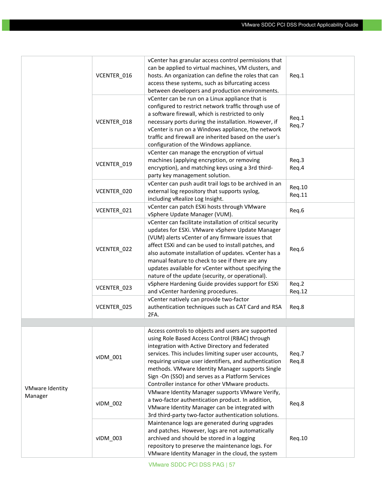|                                   | VCENTER_016 | vCenter has granular access control permissions that<br>can be applied to virtual machines, VM clusters, and<br>hosts. An organization can define the roles that can<br>access these systems, such as bifurcating access<br>between developers and production environments.                                                                                                                                                                   | Req.1            |
|-----------------------------------|-------------|-----------------------------------------------------------------------------------------------------------------------------------------------------------------------------------------------------------------------------------------------------------------------------------------------------------------------------------------------------------------------------------------------------------------------------------------------|------------------|
|                                   | VCENTER_018 | vCenter can be run on a Linux appliance that is<br>configured to restrict network traffic through use of<br>a software firewall, which is restricted to only<br>necessary ports during the installation. However, if<br>vCenter is run on a Windows appliance, the network<br>traffic and firewall are inherited based on the user's<br>configuration of the Windows appliance.                                                               | Req.1<br>Req.7   |
|                                   | VCENTER_019 | vCenter can manage the encryption of virtual<br>machines (applying encryption, or removing<br>encryption), and matching keys using a 3rd third-<br>party key management solution.                                                                                                                                                                                                                                                             | Req.3<br>Req.4   |
|                                   | VCENTER_020 | vCenter can push audit trail logs to be archived in an<br>external log repository that supports syslog,<br>including vRealize Log Insight.                                                                                                                                                                                                                                                                                                    | Req.10<br>Req.11 |
|                                   | VCENTER 021 | vCenter can patch ESXi hosts through VMware<br>vSphere Update Manager (VUM).                                                                                                                                                                                                                                                                                                                                                                  | Req.6            |
|                                   | VCENTER_022 | vCenter can facilitate installation of critical security<br>updates for ESXi. VMware vSphere Update Manager<br>(VUM) alerts vCenter of any firmware issues that<br>affect ESXi and can be used to install patches, and<br>also automate installation of updates. vCenter has a<br>manual feature to check to see if there are any<br>updates available for vCenter without specifying the<br>nature of the update (security, or operational). | Req.6            |
|                                   | VCENTER_023 | vSphere Hardening Guide provides support for ESXi<br>and vCenter hardening procedures.                                                                                                                                                                                                                                                                                                                                                        | Req.2<br>Req.12  |
|                                   | VCENTER_025 | vCenter natively can provide two-factor<br>authentication techniques such as CAT Card and RSA<br>2FA.                                                                                                                                                                                                                                                                                                                                         | Req.8            |
|                                   |             |                                                                                                                                                                                                                                                                                                                                                                                                                                               |                  |
|                                   | vIDM_001    | Access controls to objects and users are supported<br>using Role Based Access Control (RBAC) through<br>integration with Active Directory and federated<br>services. This includes limiting super user accounts,<br>requiring unique user identifiers, and authentication<br>methods. VMware Identity Manager supports Single<br>Sign -On (SSO) and serves as a Platform Services<br>Controller instance for other VMware products.           | Req.7<br>Req.8   |
| <b>VMware Identity</b><br>Manager | vIDM_002    | VMware Identity Manager supports VMware Verify,<br>a two-factor authentication product. In addition,<br>VMware Identity Manager can be integrated with<br>3rd third-party two-factor authentication solutions.                                                                                                                                                                                                                                | Req.8            |
|                                   | vIDM_003    | Maintenance logs are generated during upgrades<br>and patches. However, logs are not automatically<br>archived and should be stored in a logging<br>repository to preserve the maintenance logs. For<br>VMware Identity Manager in the cloud, the system                                                                                                                                                                                      | Req.10           |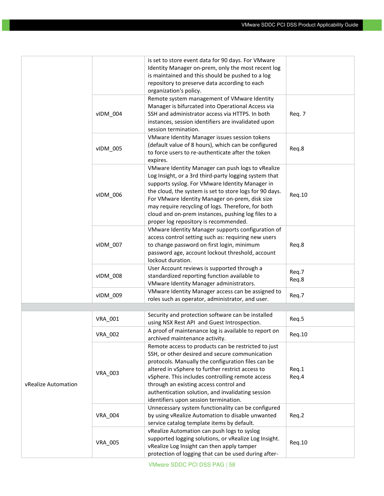|                     |                | is set to store event data for 90 days. For VMware<br>Identity Manager on-prem, only the most recent log<br>is maintained and this should be pushed to a log<br>repository to preserve data according to each<br>organization's policy.                                                                                                                                                                                          |                |
|---------------------|----------------|----------------------------------------------------------------------------------------------------------------------------------------------------------------------------------------------------------------------------------------------------------------------------------------------------------------------------------------------------------------------------------------------------------------------------------|----------------|
|                     | vIDM_004       | Remote system management of VMware Identity<br>Manager is bifurcated into Operational Access via<br>SSH and administrator access via HTTPS. In both<br>instances, session identifiers are invalidated upon<br>session termination.                                                                                                                                                                                               | Req. 7         |
|                     | vIDM_005       | VMware Identity Manager issues session tokens<br>(default value of 8 hours), which can be configured<br>to force users to re-authenticate after the token<br>expires.                                                                                                                                                                                                                                                            | Req.8          |
|                     | vIDM 006       | VMware Identity Manager can push logs to vRealize<br>Log Insight, or a 3rd third-party logging system that<br>supports syslog. For VMware Identity Manager in<br>the cloud, the system is set to store logs for 90 days.<br>For VMware Identity Manager on-prem, disk size<br>may require recycling of logs. Therefore, for both<br>cloud and on-prem instances, pushing log files to a<br>proper log repository is recommended. | Req.10         |
|                     | vIDM_007       | VMware Identity Manager supports configuration of<br>access control setting such as: requiring new users<br>to change password on first login, minimum<br>password age, account lockout threshold, account<br>lockout duration.                                                                                                                                                                                                  | Req.8          |
|                     | vIDM_008       | User Account reviews is supported through a<br>standardized reporting function available to<br>VMware Identity Manager administrators.                                                                                                                                                                                                                                                                                           | Req.7<br>Req.8 |
|                     | vIDM_009       | VMware Identity Manager access can be assigned to<br>roles such as operator, administrator, and user.                                                                                                                                                                                                                                                                                                                            | Req.7          |
|                     |                |                                                                                                                                                                                                                                                                                                                                                                                                                                  |                |
|                     | VRA_001        | Security and protection software can be installed<br>using NSX Rest API and Guest Introspection.                                                                                                                                                                                                                                                                                                                                 | Req.5          |
|                     | <b>VRA 002</b> | A proof of maintenance log is available to report on<br>archived maintenance activity.                                                                                                                                                                                                                                                                                                                                           | Req.10         |
| vRealize Automation | <b>VRA_003</b> | Remote access to products can be restricted to just<br>SSH, or other desired and secure communication<br>protocols. Manually the configuration files can be<br>altered in vSphere to further restrict access to<br>vSphere. This includes controlling remote access<br>through an existing access control and<br>authentication solution, and invalidating session<br>identifiers upon session termination.                      | Req.1<br>Req.4 |
|                     | <b>VRA_004</b> | Unnecessary system functionality can be configured<br>by using vRealize Automation to disable unwanted<br>service catalog template items by default.                                                                                                                                                                                                                                                                             | Req.2          |
|                     | <b>VRA_005</b> | vRealize Automation can push logs to syslog<br>supported logging solutions, or vRealize Log Insight.<br>vRealize Log Insight can then apply tamper<br>protection of logging that can be used during after-                                                                                                                                                                                                                       | Req.10         |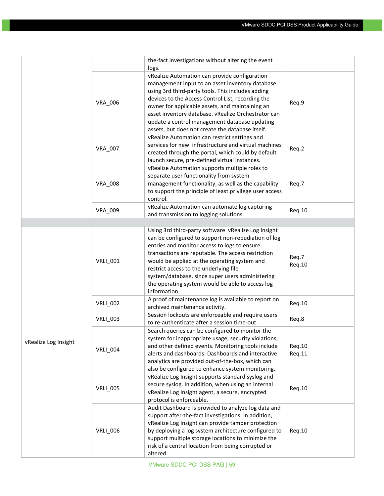|                      |                 | the-fact investigations without altering the event<br>logs.                                                                                                                                                                                                                                                                                                                                                                        |                  |
|----------------------|-----------------|------------------------------------------------------------------------------------------------------------------------------------------------------------------------------------------------------------------------------------------------------------------------------------------------------------------------------------------------------------------------------------------------------------------------------------|------------------|
|                      | <b>VRA_006</b>  | vRealize Automation can provide configuration<br>management input to an asset inventory database<br>using 3rd third-party tools. This includes adding<br>devices to the Access Control List, recording the<br>owner for applicable assets, and maintaining an<br>asset inventory database. vRealize Orchestrator can<br>update a control management database updating<br>assets, but does not create the database itself.          | Req.9            |
|                      | <b>VRA_007</b>  | vRealize Automation can restrict settings and<br>services for new infrastructure and virtual machines<br>created through the portal, which could by default<br>launch secure, pre-defined virtual instances.                                                                                                                                                                                                                       | Req.2            |
|                      | <b>VRA_008</b>  | vRealize Automation supports multiple roles to<br>separate user functionality from system<br>management functionality, as well as the capability<br>to support the principle of least privilege user access<br>control.                                                                                                                                                                                                            | Req.7            |
|                      | VRA_009         | vRealize Automation can automate log capturing<br>and transmission to logging solutions.                                                                                                                                                                                                                                                                                                                                           | Req.10           |
|                      |                 |                                                                                                                                                                                                                                                                                                                                                                                                                                    |                  |
|                      | <b>VRLI_001</b> | Using 3rd third-party software vRealize Log Insight<br>can be configured to support non-repudiation of log<br>entries and monitor access to logs to ensure<br>transactions are reputable. The access restriction<br>would be applied at the operating system and<br>restrict access to the underlying file<br>system/database, since super users administering<br>the operating system would be able to access log<br>information. | Req.7<br>Req.10  |
|                      | <b>VRLI_002</b> | A proof of maintenance log is available to report on<br>archived maintenance activity.                                                                                                                                                                                                                                                                                                                                             | Req.10           |
|                      | <b>VRLI_003</b> | Session lockouts are enforceable and require users<br>to re-authenticate after a session time-out.                                                                                                                                                                                                                                                                                                                                 | Req.8            |
| vRealize Log Insight | <b>VRLI_004</b> | Search queries can be configured to monitor the<br>system for inappropriate usage, security violations,<br>and other defined events. Monitoring tools include<br>alerts and dashboards. Dashboards and interactive<br>analytics are provided out-of-the-box, which can<br>also be configured to enhance system monitoring.                                                                                                         | Req.10<br>Req.11 |
|                      | <b>VRLI_005</b> | vRealize Log Insight supports standard syslog and<br>secure syslog. In addition, when using an internal<br>vRealize Log Insight agent, a secure, encrypted<br>protocol is enforceable.                                                                                                                                                                                                                                             | Req.10           |
|                      | <b>VRLI_006</b> | Audit Dashboard is provided to analyze log data and<br>support after-the-fact investigations. In addition,<br>vRealize Log Insight can provide tamper protection<br>by deploying a log system architecture configured to<br>support multiple storage locations to minimize the<br>risk of a central location from being corrupted or<br>altered.                                                                                   | Req.10           |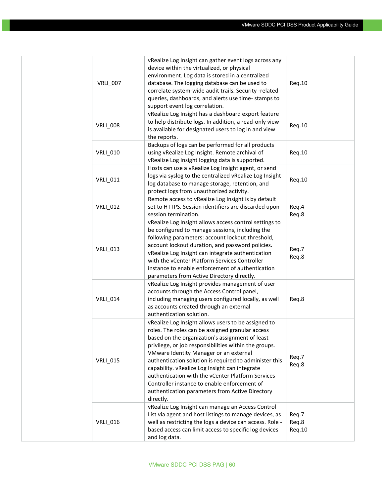| <b>VRLI_007</b> | vRealize Log Insight can gather event logs across any<br>device within the virtualized, or physical<br>environment. Log data is stored in a centralized<br>database. The logging database can be used to<br>correlate system-wide audit trails. Security -related<br>queries, dashboards, and alerts use time-stamps to<br>support event log correlation.                                                                                                                                                                                      | Req.10                   |
|-----------------|------------------------------------------------------------------------------------------------------------------------------------------------------------------------------------------------------------------------------------------------------------------------------------------------------------------------------------------------------------------------------------------------------------------------------------------------------------------------------------------------------------------------------------------------|--------------------------|
| <b>VRLI_008</b> | vRealize Log Insight has a dashboard export feature<br>to help distribute logs. In addition, a read-only view<br>is available for designated users to log in and view<br>the reports.                                                                                                                                                                                                                                                                                                                                                          | Req.10                   |
| <b>VRLI_010</b> | Backups of logs can be performed for all products<br>using vRealize Log Insight. Remote archival of<br>vRealize Log Insight logging data is supported.                                                                                                                                                                                                                                                                                                                                                                                         | Req.10                   |
| <b>VRLI_011</b> | Hosts can use a vRealize Log Insight agent, or send<br>logs via syslog to the centralized vRealize Log Insight<br>log database to manage storage, retention, and<br>protect logs from unauthorized activity.                                                                                                                                                                                                                                                                                                                                   | Req.10                   |
| <b>VRLI_012</b> | Remote access to vRealize Log Insight is by default<br>set to HTTPS. Session identifiers are discarded upon<br>session termination.                                                                                                                                                                                                                                                                                                                                                                                                            | Req.4<br>Req.8           |
| <b>VRLI_013</b> | vRealize Log Insight allows access control settings to<br>be configured to manage sessions, including the<br>following parameters: account lockout threshold,<br>account lockout duration, and password policies.<br>vRealize Log Insight can integrate authentication<br>with the vCenter Platform Services Controller<br>instance to enable enforcement of authentication<br>parameters from Active Directory directly.                                                                                                                      | Req.7<br>Req.8           |
| <b>VRLI_014</b> | vRealize Log Insight provides management of user<br>accounts through the Access Control panel,<br>including managing users configured locally, as well<br>as accounts created through an external<br>authentication solution.                                                                                                                                                                                                                                                                                                                  | Req.8                    |
| <b>VRLI_015</b> | vRealize Log Insight allows users to be assigned to<br>roles. The roles can be assigned granular access<br>based on the organization's assignment of least<br>privilege, or job responsibilities within the groups.<br>VMware Identity Manager or an external<br>authentication solution is required to administer this<br>capability. vRealize Log Insight can integrate<br>authentication with the vCenter Platform Services<br>Controller instance to enable enforcement of<br>authentication parameters from Active Directory<br>directly. | Req.7<br>Req.8           |
| <b>VRLI_016</b> | vRealize Log Insight can manage an Access Control<br>List via agent and host listings to manage devices, as<br>well as restricting the logs a device can access. Role -<br>based access can limit access to specific log devices<br>and log data.                                                                                                                                                                                                                                                                                              | Req.7<br>Req.8<br>Req.10 |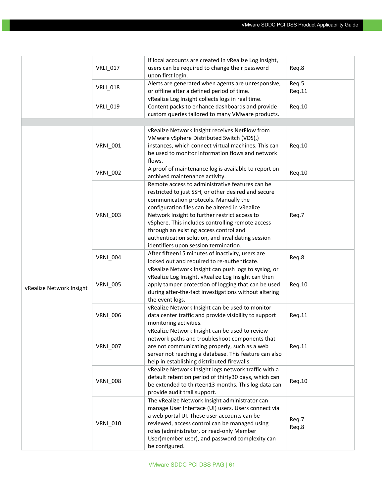|                          |                 | If local accounts are created in vRealize Log Insight,                                                                                                                                                                                                                                                                                                                                                                                         |                 |
|--------------------------|-----------------|------------------------------------------------------------------------------------------------------------------------------------------------------------------------------------------------------------------------------------------------------------------------------------------------------------------------------------------------------------------------------------------------------------------------------------------------|-----------------|
|                          | <b>VRLI_017</b> | users can be required to change their password<br>upon first login.                                                                                                                                                                                                                                                                                                                                                                            | Req.8           |
|                          | <b>VRLI_018</b> | Alerts are generated when agents are unresponsive,<br>or offline after a defined period of time.                                                                                                                                                                                                                                                                                                                                               | Req.5<br>Req.11 |
|                          | <b>VRLI_019</b> | vRealize Log Insight collects logs in real time.<br>Content packs to enhance dashboards and provide<br>custom queries tailored to many VMware products.                                                                                                                                                                                                                                                                                        | Req.10          |
|                          |                 |                                                                                                                                                                                                                                                                                                                                                                                                                                                |                 |
|                          | <b>VRNI_001</b> | vRealize Network Insight receives NetFlow from<br>VMware vSphere Distributed Switch (VDS),)<br>instances, which connect virtual machines. This can<br>be used to monitor information flows and network<br>flows.                                                                                                                                                                                                                               | Req.10          |
|                          | <b>VRNI_002</b> | A proof of maintenance log is available to report on<br>archived maintenance activity.                                                                                                                                                                                                                                                                                                                                                         | Req.10          |
|                          | <b>VRNI_003</b> | Remote access to administrative features can be<br>restricted to just SSH, or other desired and secure<br>communication protocols. Manually the<br>configuration files can be altered in vRealize<br>Network Insight to further restrict access to<br>vSphere. This includes controlling remote access<br>through an existing access control and<br>authentication solution, and invalidating session<br>identifiers upon session termination. | Req.7           |
|                          | <b>VRNI_004</b> | After fifteen15 minutes of inactivity, users are<br>locked out and required to re-authenticate.                                                                                                                                                                                                                                                                                                                                                | Req.8           |
| vRealize Network Insight | <b>VRNI_005</b> | vRealize Network Insight can push logs to syslog, or<br>vRealize Log Insight. vRealize Log Insight can then<br>apply tamper protection of logging that can be used<br>during after-the-fact investigations without altering<br>the event logs.                                                                                                                                                                                                 | Req.10          |
|                          | <b>VRNI_006</b> | vRealize Network Insight can be used to monitor<br>data center traffic and provide visibility to support<br>monitoring activities.                                                                                                                                                                                                                                                                                                             | Req.11          |
|                          | <b>VRNI_007</b> | vRealize Network Insight can be used to review<br>network paths and troubleshoot components that<br>are not communicating properly, such as a web<br>server not reaching a database. This feature can also<br>help in establishing distributed firewalls.                                                                                                                                                                                      | Req.11          |
|                          | <b>VRNI_008</b> | vRealize Network Insight logs network traffic with a<br>default retention period of thirty30 days, which can<br>be extended to thirteen13 months. This log data can<br>provide audit trail support.                                                                                                                                                                                                                                            | Req.10          |
|                          | <b>VRNI_010</b> | The vRealize Network Insight administrator can<br>manage User Interface (UI) users. Users connect via<br>a web portal UI. These user accounts can be<br>reviewed, access control can be managed using<br>roles (administrator, or read-only Member<br>User)member user), and password complexity can<br>be configured.                                                                                                                         | Req.7<br>Req.8  |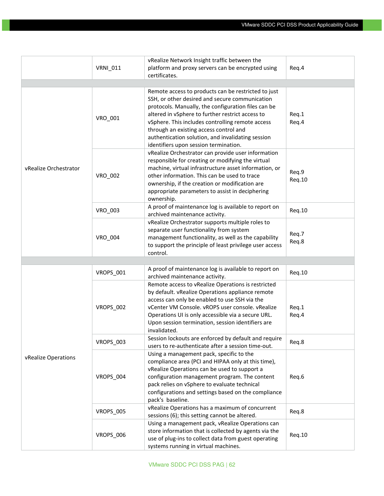|                       |                  | vRealize Network Insight traffic between the                                                                                                                                                                                                                                                                                                                                                                 |                 |
|-----------------------|------------------|--------------------------------------------------------------------------------------------------------------------------------------------------------------------------------------------------------------------------------------------------------------------------------------------------------------------------------------------------------------------------------------------------------------|-----------------|
|                       | <b>VRNI_011</b>  | platform and proxy servers can be encrypted using                                                                                                                                                                                                                                                                                                                                                            | Req.4           |
|                       |                  | certificates.                                                                                                                                                                                                                                                                                                                                                                                                |                 |
|                       |                  |                                                                                                                                                                                                                                                                                                                                                                                                              |                 |
|                       | VRO_001          | Remote access to products can be restricted to just<br>SSH, or other desired and secure communication<br>protocols. Manually, the configuration files can be<br>altered in vSphere to further restrict access to<br>vSphere. This includes controlling remote access<br>through an existing access control and<br>authentication solution, and invalidating session<br>identifiers upon session termination. | Req.1<br>Req.4  |
| vRealize Orchestrator | VRO_002          | vRealize Orchestrator can provide user information<br>responsible for creating or modifying the virtual<br>machine, virtual infrastructure asset information, or<br>other information. This can be used to trace<br>ownership, if the creation or modification are<br>appropriate parameters to assist in deciphering<br>ownership.                                                                          | Req.9<br>Req.10 |
|                       | VRO_003          | A proof of maintenance log is available to report on<br>archived maintenance activity.                                                                                                                                                                                                                                                                                                                       | Req.10          |
|                       | <b>VRO 004</b>   | vRealize Orchestrator supports multiple roles to<br>separate user functionality from system<br>management functionality, as well as the capability<br>to support the principle of least privilege user access<br>control.                                                                                                                                                                                    | Req.7<br>Req.8  |
|                       |                  |                                                                                                                                                                                                                                                                                                                                                                                                              |                 |
|                       | VROPS_001        | A proof of maintenance log is available to report on<br>archived maintenance activity.                                                                                                                                                                                                                                                                                                                       | Req.10          |
| vRealize Operations   | VROPS_002        | Remote access to vRealize Operations is restricted<br>by default. vRealize Operations appliance remote<br>access can only be enabled to use SSH via the<br>vCenter VM Console. vROPS user console. vRealize<br>Operations UI is only accessible via a secure URL.<br>Upon session termination, session identifiers are<br>invalidated.                                                                       | Req.1<br>Req.4  |
|                       | VROPS_003        | Session lockouts are enforced by default and require<br>users to re-authenticate after a session time-out.                                                                                                                                                                                                                                                                                                   | Req.8           |
|                       | VROPS_004        | Using a management pack, specific to the<br>compliance area (PCI and HIPAA only at this time),<br>vRealize Operations can be used to support a<br>configuration management program. The content<br>pack relies on vSphere to evaluate technical<br>configurations and settings based on the compliance<br>pack's baseline.                                                                                   | Req.6           |
|                       | <b>VROPS_005</b> | vRealize Operations has a maximum of concurrent<br>sessions (6); this setting cannot be altered.                                                                                                                                                                                                                                                                                                             | Req.8           |
|                       | VROPS_006        | Using a management pack, vRealize Operations can<br>store information that is collected by agents via the<br>use of plug-ins to collect data from guest operating<br>systems running in virtual machines.                                                                                                                                                                                                    | Req.10          |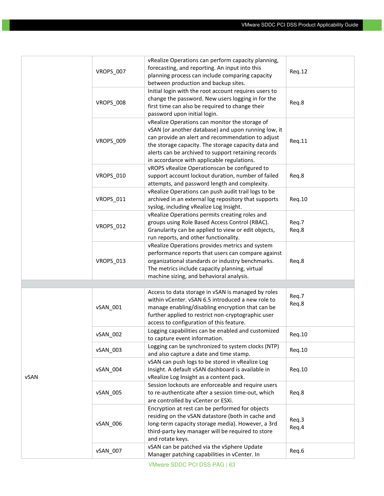|      |                  | vRealize Operations can perform capacity planning,    |        |
|------|------------------|-------------------------------------------------------|--------|
|      | VROPS_007        | forecasting, and reporting. An input into this        |        |
|      |                  | planning process can include comparing capacity       | Req.12 |
|      |                  | between production and backup sites.                  |        |
|      |                  | Initial login with the root account requires users to |        |
|      |                  | change the password. New users logging in for the     |        |
|      | VROPS_008        | first time can also be required to change their       | Req.8  |
|      |                  | password upon initial login.                          |        |
|      |                  | vRealize Operations can monitor the storage of        |        |
|      |                  | vSAN (or another database) and upon running low, it   |        |
|      | VROPS 009        | can provide an alert and recommendation to adjust     |        |
|      |                  | the storage capacity. The storage capacity data and   | Req.11 |
|      |                  | alerts can be archived to support retaining records   |        |
|      |                  | in accordance with applicable regulations.            |        |
|      |                  | vROPS vRealize Operationscan be configured to         |        |
|      | <b>VROPS_010</b> | support account lockout duration, number of failed    | Req.8  |
|      |                  | attempts, and password length and complexity.         |        |
|      |                  | vRealize Operations can push audit trail logs to be   |        |
|      | VROPS_011        | archived in an external log repository that supports  | Req.10 |
|      |                  | syslog, including vRealize Log Insight.               |        |
|      |                  | vRealize Operations permits creating roles and        |        |
|      |                  | groups using Role Based Access Control (RBAC).        | Req.7  |
|      | VROPS 012        | Granularity can be applied to view or edit objects,   | Req.8  |
|      |                  | run reports, and other functionality.                 |        |
|      |                  |                                                       |        |
|      |                  | vRealize Operations provides metrics and system       |        |
|      |                  | performance reports that users can compare against    |        |
|      | VROPS_013        | organizational standards or industry benchmarks.      | Req.8  |
|      |                  | The metrics include capacity planning, virtual        |        |
|      |                  | machine sizing, and behavioral analysis.              |        |
|      |                  |                                                       |        |
|      |                  | Access to data storage in vSAN is managed by roles    | Req.7  |
|      |                  | within vCenter. vSAN 6.5 introduced a new role to     | Req.8  |
|      | vSAN_001         | manage enabling/disabling encryption that can be      |        |
|      |                  | further applied to restrict non-cryptographic user    |        |
|      |                  | access to configuration of this feature.              |        |
|      | <b>vSAN 002</b>  | Logging capabilities can be enabled and customized    | Reg.10 |
|      |                  | to capture event information.                         |        |
|      | vSAN_003         | Logging can be synchronized to system clocks (NTP)    | Req.10 |
|      |                  | and also capture a date and time stamp.               |        |
|      |                  | vSAN can push logs to be stored in vRealize Log       |        |
|      | vSAN_004         | Insight. A default vSAN dashboard is available in     | Req.10 |
| vSAN |                  | vRealize Log Insight as a content pack.               |        |
|      |                  | Session lockouts are enforceable and require users    |        |
|      | vSAN_005         | to re-authenticate after a session time-out, which    | Req.8  |
|      |                  | are controlled by vCenter or ESXi.                    |        |
|      | vSAN_006         | Encryption at rest can be performed for objects       |        |
|      |                  | residing on the vSAN datastore (both in cache and     | Req.3  |
|      |                  | long-term capacity storage media). However, a 3rd     | Req.4  |
|      |                  | third-party key manager will be required to store     |        |
|      |                  | and rotate keys.                                      |        |
|      | vSAN_007         | vSAN can be patched via the vSphere Update            | Req.6  |
|      |                  | Manager patching capabilities in vCenter. In          |        |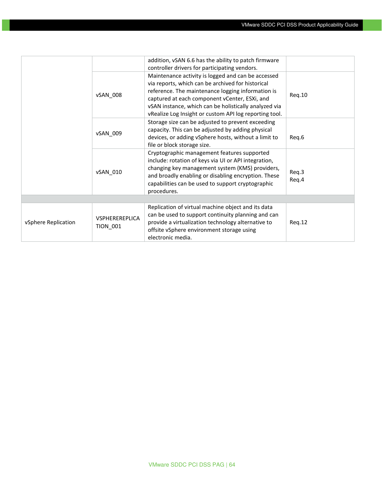|                     |                                          | addition, vSAN 6.6 has the ability to patch firmware<br>controller drivers for participating vendors.                                                                                                                                                                                                                            |                |
|---------------------|------------------------------------------|----------------------------------------------------------------------------------------------------------------------------------------------------------------------------------------------------------------------------------------------------------------------------------------------------------------------------------|----------------|
|                     | vSAN_008                                 | Maintenance activity is logged and can be accessed<br>via reports, which can be archived for historical<br>reference. The maintenance logging information is<br>captured at each component vCenter, ESXi, and<br>vSAN instance, which can be holistically analyzed via<br>vRealize Log Insight or custom API log reporting tool. | Req.10         |
|                     | vSAN 009                                 | Storage size can be adjusted to prevent exceeding<br>capacity. This can be adjusted by adding physical<br>devices, or adding vSphere hosts, without a limit to<br>file or block storage size.                                                                                                                                    | Req.6          |
|                     | vSAN 010                                 | Cryptographic management features supported<br>include: rotation of keys via UI or API integration,<br>changing key management system (KMS) providers,<br>and broadly enabling or disabling encryption. These<br>capabilities can be used to support cryptographic<br>procedures.                                                | Req.3<br>Req.4 |
|                     |                                          |                                                                                                                                                                                                                                                                                                                                  |                |
| vSphere Replication | <b>VSPHEREREPLICA</b><br><b>TION 001</b> | Replication of virtual machine object and its data<br>can be used to support continuity planning and can<br>provide a virtualization technology alternative to<br>offsite vSphere environment storage using<br>electronic media.                                                                                                 | Req.12         |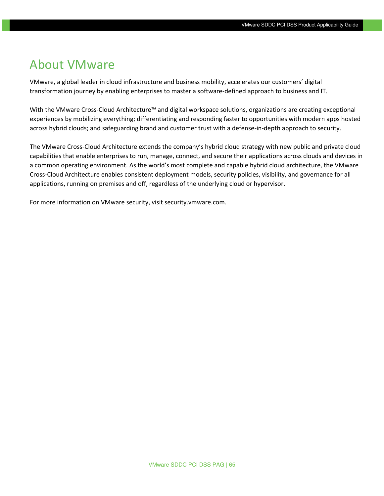## <span id="page-64-0"></span>About VMware

VMware, a global leader in cloud infrastructure and business mobility, accelerates our customers' digital transformation journey by enabling enterprises to master a software-defined approach to business and IT.

With the VMware Cross-Cloud Architecture™ and digital workspace solutions, organizations are creating exceptional experiences by mobilizing everything; differentiating and responding faster to opportunities with modern apps hosted across hybrid clouds; and safeguarding brand and customer trust with a defense-in-depth approach to security.

The VMware Cross-Cloud Architecture extends the company's hybrid cloud strategy with new public and private cloud capabilities that enable enterprises to run, manage, connect, and secure their applications across clouds and devices in a common operating environment. As the world's most complete and capable hybrid cloud architecture, the VMware Cross-Cloud Architecture enables consistent deployment models, security policies, visibility, and governance for all applications, running on premises and off, regardless of the underlying cloud or hypervisor.

For more information on VMware security, visit security.vmware.com.